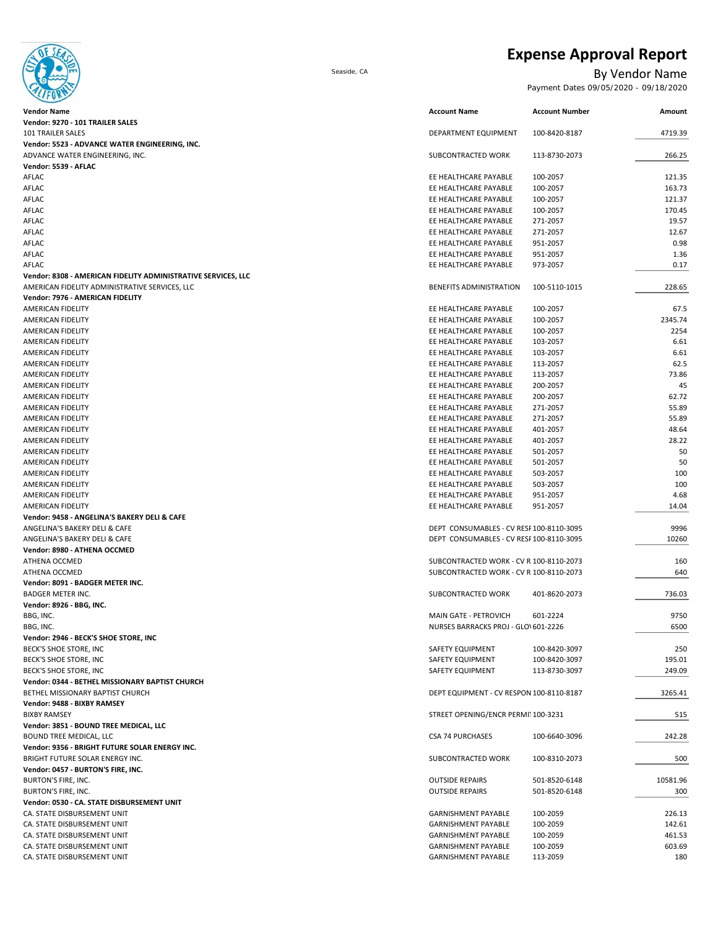**Expense Approval Report** Seaside, CA By Vendor Name Payment Dates 09/05/2020 - 09/18/2020

#### **Amount Vendor: 9356 ‐ BRIGHT FUTURE SOLAR ENERGY INC.** BRIGHT FUTURE SOLAR ENERGY INC. SUBCONTRACTED WORK 100‐8310‐2073 500 **Vendor: 0457 ‐ BURTON'S FIRE, INC.** BURTON'S FIRE, INC. CHARGE REPAIRS 501‐8520‐6148 10581.96 10581.96 **Vendor: 0344 ‐ BETHEL MISSIONARY BAPTIST CHURCH** BETHEL MISSIONARY BAPTIST CHURCH 3265.41 BETHEL MISSIONARY BAPTIST CHURCH DEPT EQUIPMENT - CV RESPON 100-8110-8187 **Vendor: 9488 ‐ BIXBY RAMSEY** BIXBY RAMSEY STREET OPENING/ENCR PERMI⊺100‐3231 515 **Vendor: 3851 ‐ BOUND TREE MEDICAL, LLC** BOUND TREE MEDICAL, LLC CSA 74 PURCHASES 100‐6640‐3096 242.28 **Vendor: 2946 ‐ BECK'S SHOE STORE, INC** BECK'S SHOE STORE, INC SAFETY EQUIPMENT 250 NORTH 250 250 NORTH 250 NORTH 250 NORTH 250 NORTH 250 NORTH 250 NORTH 250 NORTH 250 NORTH 250 NORTH 250 NORTH 250 NORTH 250 NORTH 250 NORTH 250 NORTH 250 NORTH 250 NORTH 250 NORT BECK'S SHOE STORE, INC SAFETY EQUIPMENT 100‐8420‐3097 195.01 195.01 BECK'S SHOE STORE, INC SAFETY EQUIPMENT 113‐8730‐3097 249.09 **Vendor: 8091 ‐ BADGER METER INC.** BADGER METER INC. SUBCONTRACTED WORK 401‐8620‐2073 736.03 **Vendor: 8926 ‐ BBG, INC.** BBG, INC. MAIN GATE ‐ PETROVICH 601‐2224 9750 BBG, INC. NURSES BARRACKS PROJ − GLOV601−2226 6500 − 6100−2226 6500 − 6100−2226 6500 − 6100−2226 6500 − 6500 − 6500 − 6500 − 6500 − 6500 − 6500 − 6500 − 6500 − 6500 − 6500 − 6500 − 6500 − 6500 − 6500 − 6500 − 6500 − 6500 ANGELINA'S BAKERY DELI & CAFE DEPT CONSUMABLES – CV RESP100‐8110‐3095 20260 **Vendor: 8980 ‐ ATHENA OCCMED** ATHENA OCCMED SUBCONTRACTED WORK ‐ CV R 100‐8110‐2073 160 ATHENA OCCMED SUBCONTRACTED WORK ‐ CV R 100‐8110‐2073 640 AMERICAN FIDELITY EE HEALTHCARE PAYABLE 951‐2057 4.68 AMERICAN FIDELITY EE HEALTHCARE PAYABLE 951‐2057 14.04 **Vendor: 9458 ‐ ANGELINA'S BAKERY DELI & CAFE** ANGELINA'S BAKERY DELI & CAFE DEPT CONSUMABLES - CV RESF100‐8110‐3095 9996 9996 AMERICAN FIDELITY EE HEALTHCARE PAYABLE 501‐2057 50 AMERICAN FIDELITY EE HEALTHCARE PAYABLE 503‐2057 100 AMERICAN FIDELITY EE HEALTHCARE PAYABLE 503-2057 100 NORTH CARE PAYABLE 503-2057 100 AMERICAN FIDELITY ASSAULTY AND REALTHCARE PAYABLE AND REALTHCARE PAYABLE 401-2057 48.64<br>AMERICAN FIDELITY AND REALTHCARE PAYABLE 401-2057 28.22 AMERICAN FIDELITY EE HEALTHCARE PAYABLE 401‐2057 28.22 AMERICAN FIDELITY EE HEALTHCARE PAYABLE 501‐2057 50 AMERICAN FIDELITY EE HEALTHCARE PAYABLE 200‐2057 62.72 AMERICAN FIDELITY NETWORK AND THE SERVEN OF THE SAME SERVEN OF THE SAME SERVEN AND RESULT AND RESULT AND RESULT<br>AMERICAN FIDELITY SERVEN OF THE SAME SERVEN OF THE SAME SERVEN OF THE SAME SERVEN OF THE SAME SERVEN OF THE SA EE HEALTHCARE PAYABLE 271-2057 AMERICAN FIDELITY EE HEALTHCARE PAYABLE 113‐2057 62.5 AMERICAN FIDELITY EE HEALTHCARE PAYABLE 113‐2057 73.86 AMERICAN FIDELITY EE HEALTHCARE PAYABLE 200‐2057 45 AMERICAN FIDELITY EE HEALTHCARE PAYABLE 100‐2057 2254 AMERICAN FIDELITY EE HEALTHCARE PAYABLE 103‐2057 6.61 AMERICAN FIDELITY EE HEALTHCARE PAYABLE 103‐2057 6.61 **Vendor: 8308 ‐ AMERICAN FIDELITY ADMINISTRATIVE SERVICES, LLC** AMERICAN FIDELITY ADMINISTRATIVE SERVICES, LLC BENEFITS ADMINISTRATION 100‐5110‐1015 228.65 **Vendor: 7976 ‐ AMERICAN FIDELITY** AMERICAN FIDELITY EE HEALTHCARE PAYABLE 100‐2057 67.5 AMERICAN FIDELITY EE HEALTHCARE PAYABLE 100‐2057 2345.74 AFLAC EE HEALTHCARE PAYABLE 951‐2057 0.98 AFLAC EE HEALTHCARE PAYABLE 951‐2057 1.36 AFLAC **EXELUSION CONTROLLE EN EXELUSION CONTROLLE** EN ELECTRICARE PAYABLE 973-2057 **0.17** AFLAC EE HEALTHCARE PAYABLE 100‐2057 170.45 AFLAC EE HEALTHCARE PAYABLE 271‐2057 19.57 AFLAC EE HEALTHCARE PAYABLE 271‐2057 22057 12.67 2012 12.67 2012 12.67 2012 12.67 2012 12.67 2012 12.67 2012 12.67 2012 12.67 2012 12.67 2012 12.67 2012 12.67 2012 12.67 2012 12.67 2012 12.67 2012 12.67 2012 12.67 2012 12. **Vendor: 5539 ‐ AFLAC** AFLAC ET HEALTHCARE PAYABLE 100‐2057 121.35 AFLAC **EE HEALTHCARE PAYABLE** 100−2057 163.73 AFLAC EXERCITY EXAMPLE 2000-2057 121.37 NORTHLARE PAYABLE 2000-2057 221.37 **Vendor Name Account Name Account Number Vendor: 9270 ‐ 101 TRAILER SALES** 101 TRAILER SALES DEPARTMENT EQUIPMENT 100‐8420‐8187 4719.39 **Vendor: 5523 ‐ ADVANCE WATER ENGINEERING, INC.** ADVANCE WATER ENGINEERING, INC. SUBCONTRACTED WORK 113‐8730‐2073 266.25

CA. STATE DISBURSEMENT UNIT GARNISHMENT PAYABLE 100‐2059 603.69 CA. STATE DISBURSEMENT UNIT NEXT AND THE STATE OF STATE OF SARISHMENT PAYABLE 113-2059 180 **Vendor: 0530 ‐ CA. STATE DISBURSEMENT UNIT** CA. STATE DISBURSEMENT UNIT GARNISHMENT PAYABLE 100‐2059 226.13 CA. STATE DISBURSEMENT UNIT GARNISHMENT PAYABLE 100‐2059 142.61 CA. STATE DISBURSEMENT UNIT GARNISHMENT PAYABLE 100‐2059 461.53 BURTON'S FIRE, INC. CHARGE REPAIRS 501‐8520‐6148 501‐8520‐6148 501‐8520‐6148 501‐8520‐6148 501‐8520‐6148 501‐8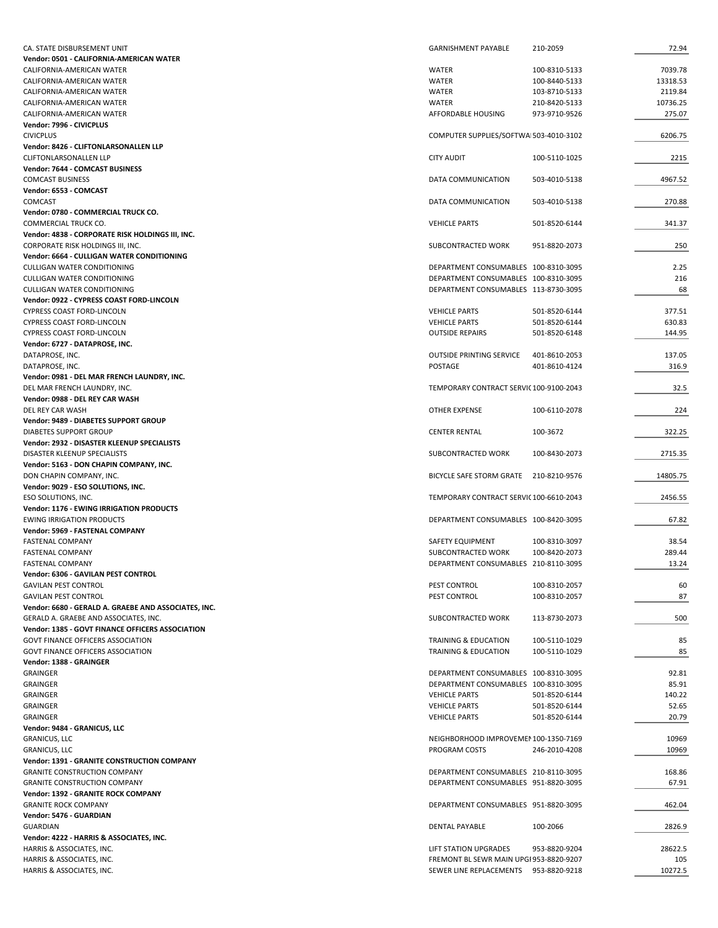| CA. STATE DISBURSEMENT UNIT                          | <b>GARNISHMENT PAYABLE</b>              | 210-2059      | 72.94    |
|------------------------------------------------------|-----------------------------------------|---------------|----------|
| Vendor: 0501 - CALIFORNIA-AMERICAN WATER             |                                         |               |          |
| CALIFORNIA-AMERICAN WATER                            | <b>WATER</b>                            | 100-8310-5133 | 7039.78  |
|                                                      | <b>WATER</b>                            |               |          |
| CALIFORNIA-AMERICAN WATER                            |                                         | 100-8440-5133 | 13318.53 |
| CALIFORNIA-AMERICAN WATER                            | <b>WATER</b>                            | 103-8710-5133 | 2119.84  |
| CALIFORNIA-AMERICAN WATER                            | WATER                                   | 210-8420-5133 | 10736.25 |
| CALIFORNIA-AMERICAN WATER                            | AFFORDABLE HOUSING                      | 973-9710-9526 | 275.07   |
| Vendor: 7996 - CIVICPLUS                             |                                         |               |          |
| <b>CIVICPLUS</b>                                     | COMPUTER SUPPLIES/SOFTWA 503-4010-3102  |               | 6206.75  |
| Vendor: 8426 - CLIFTONLARSONALLEN LLP                |                                         |               |          |
| CLIFTONLARSONALLEN LLP                               | <b>CITY AUDIT</b>                       | 100-5110-1025 | 2215     |
| Vendor: 7644 - COMCAST BUSINESS                      |                                         |               |          |
| <b>COMCAST BUSINESS</b>                              |                                         |               |          |
|                                                      | DATA COMMUNICATION                      | 503-4010-5138 | 4967.52  |
| Vendor: 6553 - COMCAST                               |                                         |               |          |
| COMCAST                                              | DATA COMMUNICATION                      | 503-4010-5138 | 270.88   |
| Vendor: 0780 - COMMERCIAL TRUCK CO.                  |                                         |               |          |
| COMMERCIAL TRUCK CO.                                 | <b>VEHICLE PARTS</b>                    | 501-8520-6144 | 341.37   |
| Vendor: 4838 - CORPORATE RISK HOLDINGS III, INC.     |                                         |               |          |
| CORPORATE RISK HOLDINGS III, INC.                    | SUBCONTRACTED WORK                      | 951-8820-2073 | 250      |
| Vendor: 6664 - CULLIGAN WATER CONDITIONING           |                                         |               |          |
| <b>CULLIGAN WATER CONDITIONING</b>                   | DEPARTMENT CONSUMABLES 100-8310-3095    |               | 2.25     |
|                                                      |                                         |               |          |
| <b>CULLIGAN WATER CONDITIONING</b>                   | DEPARTMENT CONSUMABLES 100-8310-3095    |               | 216      |
| <b>CULLIGAN WATER CONDITIONING</b>                   | DEPARTMENT CONSUMABLES 113-8730-3095    |               | 68       |
| Vendor: 0922 - CYPRESS COAST FORD-LINCOLN            |                                         |               |          |
| CYPRESS COAST FORD-LINCOLN                           | <b>VEHICLE PARTS</b>                    | 501-8520-6144 | 377.51   |
| <b>CYPRESS COAST FORD-LINCOLN</b>                    | <b>VEHICLE PARTS</b>                    | 501-8520-6144 | 630.83   |
| CYPRESS COAST FORD-LINCOLN                           | <b>OUTSIDE REPAIRS</b>                  | 501-8520-6148 | 144.95   |
| Vendor: 6727 - DATAPROSE, INC.                       |                                         |               |          |
| DATAPROSE, INC.                                      | <b>OUTSIDE PRINTING SERVICE</b>         | 401-8610-2053 | 137.05   |
|                                                      |                                         |               |          |
| DATAPROSE, INC.                                      | POSTAGE                                 | 401-8610-4124 | 316.9    |
| Vendor: 0981 - DEL MAR FRENCH LAUNDRY, INC.          |                                         |               |          |
| DEL MAR FRENCH LAUNDRY, INC.                         | TEMPORARY CONTRACT SERVIC 100-9100-2043 |               | 32.5     |
| Vendor: 0988 - DEL REY CAR WASH                      |                                         |               |          |
| DEL REY CAR WASH                                     | OTHER EXPENSE                           | 100-6110-2078 | 224      |
| Vendor: 9489 - DIABETES SUPPORT GROUP                |                                         |               |          |
| DIABETES SUPPORT GROUP                               | <b>CENTER RENTAL</b>                    | 100-3672      | 322.25   |
| Vendor: 2932 - DISASTER KLEENUP SPECIALISTS          |                                         |               |          |
|                                                      |                                         |               |          |
| DISASTER KLEENUP SPECIALISTS                         | SUBCONTRACTED WORK                      | 100-8430-2073 | 2715.35  |
| Vendor: 5163 - DON CHAPIN COMPANY, INC.              |                                         |               |          |
| DON CHAPIN COMPANY, INC.                             | <b>BICYCLE SAFE STORM GRATE</b>         | 210-8210-9576 | 14805.75 |
| Vendor: 9029 - ESO SOLUTIONS, INC.                   |                                         |               |          |
| ESO SOLUTIONS, INC.                                  | TEMPORARY CONTRACT SERVIC 100-6610-2043 |               | 2456.55  |
| <b>Vendor: 1176 - EWING IRRIGATION PRODUCTS</b>      |                                         |               |          |
| <b>EWING IRRIGATION PRODUCTS</b>                     | DEPARTMENT CONSUMABLES 100-8420-3095    |               | 67.82    |
| Vendor: 5969 - FASTENAL COMPANY                      |                                         |               |          |
|                                                      |                                         |               |          |
| FASTENAL COMPANY                                     | SAFETY EQUIPMENT                        | 100-8310-3097 | 38.54    |
| FASTENAL COMPANY                                     | SUBCONTRACTED WORK                      | 100-8420-2073 | 289.44   |
| FASTENAL COMPANY                                     | DEPARTMENT CONSUMABLES 210-8110-3095    |               | 13.24    |
| Vendor: 6306 - GAVILAN PEST CONTROL                  |                                         |               |          |
| <b>GAVILAN PEST CONTROL</b>                          | PEST CONTROL                            | 100-8310-2057 | 60       |
| <b>GAVILAN PEST CONTROL</b>                          | PEST CONTROL                            | 100-8310-2057 | 87       |
| Vendor: 6680 - GERALD A. GRAEBE AND ASSOCIATES, INC. |                                         |               |          |
| GERALD A. GRAEBE AND ASSOCIATES, INC.                | SUBCONTRACTED WORK                      | 113-8730-2073 | 500      |
| Vendor: 1385 - GOVT FINANCE OFFICERS ASSOCIATION     |                                         |               |          |
|                                                      |                                         |               |          |
| <b>GOVT FINANCE OFFICERS ASSOCIATION</b>             | <b>TRAINING &amp; EDUCATION</b>         | 100-5110-1029 | 85       |
| <b>GOVT FINANCE OFFICERS ASSOCIATION</b>             | <b>TRAINING &amp; EDUCATION</b>         | 100-5110-1029 | 85       |
| Vendor: 1388 - GRAINGER                              |                                         |               |          |
| <b>GRAINGER</b>                                      | DEPARTMENT CONSUMABLES 100-8310-3095    |               | 92.81    |
| <b>GRAINGER</b>                                      | DEPARTMENT CONSUMABLES 100-8310-3095    |               | 85.91    |
| <b>GRAINGER</b>                                      | <b>VEHICLE PARTS</b>                    | 501-8520-6144 | 140.22   |
| <b>GRAINGER</b>                                      | <b>VEHICLE PARTS</b>                    | 501-8520-6144 | 52.65    |
|                                                      |                                         | 501-8520-6144 | 20.79    |
| <b>GRAINGER</b>                                      | <b>VEHICLE PARTS</b>                    |               |          |
| Vendor: 9484 - GRANICUS, LLC                         |                                         |               |          |
| <b>GRANICUS, LLC</b>                                 | NEIGHBORHOOD IMPROVEMEN 100-1350-7169   |               | 10969    |
| <b>GRANICUS, LLC</b>                                 | PROGRAM COSTS                           | 246-2010-4208 | 10969    |
| Vendor: 1391 - GRANITE CONSTRUCTION COMPANY          |                                         |               |          |
| <b>GRANITE CONSTRUCTION COMPANY</b>                  | DEPARTMENT CONSUMABLES 210-8110-3095    |               | 168.86   |
| <b>GRANITE CONSTRUCTION COMPANY</b>                  | DEPARTMENT CONSUMABLES 951-8820-3095    |               | 67.91    |
| Vendor: 1392 - GRANITE ROCK COMPANY                  |                                         |               |          |
|                                                      |                                         |               |          |
| <b>GRANITE ROCK COMPANY</b>                          | DEPARTMENT CONSUMABLES 951-8820-3095    |               | 462.04   |
| Vendor: 5476 - GUARDIAN                              |                                         |               |          |
| GUARDIAN                                             | DENTAL PAYABLE                          | 100-2066      | 2826.9   |
| Vendor: 4222 - HARRIS & ASSOCIATES, INC.             |                                         |               |          |
| HARRIS & ASSOCIATES, INC.                            | LIFT STATION UPGRADES                   | 953-8820-9204 | 28622.5  |
| HARRIS & ASSOCIATES, INC.                            | FREMONT BL SEWR MAIN UPGI 953-8820-9207 |               | 105      |
| HARRIS & ASSOCIATES, INC.                            | SEWER LINE REPLACEMENTS                 | 953-8820-9218 | 10272.5  |
|                                                      |                                         |               |          |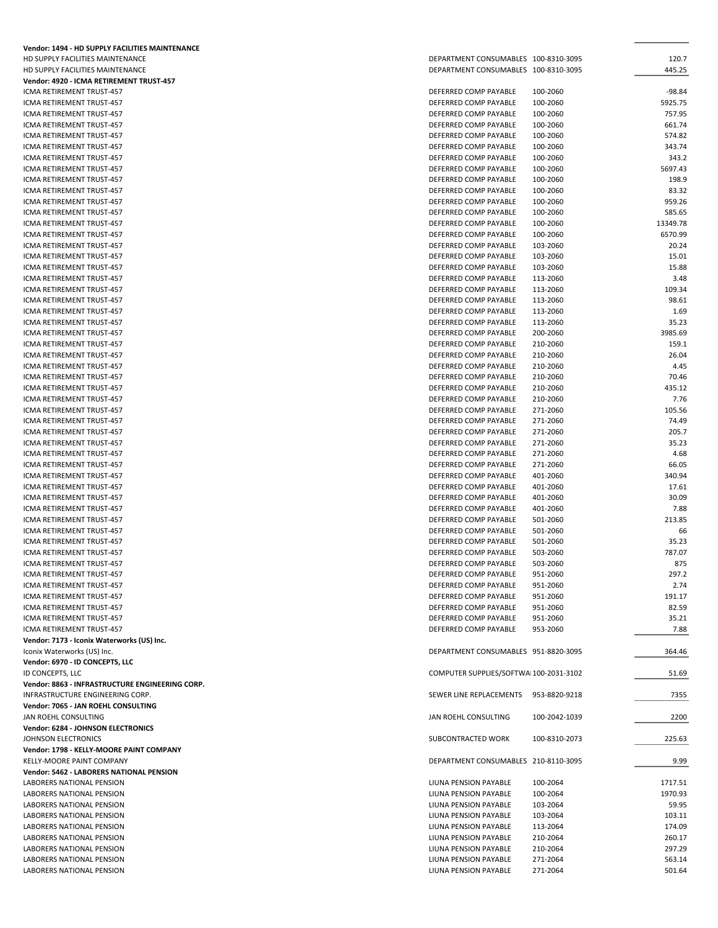| Vendor: 1494 - HD SUPPLY FACILITIES MAINTENANCE        |                                                |               |                   |
|--------------------------------------------------------|------------------------------------------------|---------------|-------------------|
| HD SUPPLY FACILITIES MAINTENANCE                       | DEPARTMENT CONSUMABLES 100-8310-3095           |               | 120.7             |
| HD SUPPLY FACILITIES MAINTENANCE                       | DEPARTMENT CONSUMABLES 100-8310-3095           |               | 445.25            |
| Vendor: 4920 - ICMA RETIREMENT TRUST-457               |                                                |               |                   |
| ICMA RETIREMENT TRUST-457                              | DEFERRED COMP PAYABLE                          | 100-2060      | -98.84            |
| ICMA RETIREMENT TRUST-457                              | DEFERRED COMP PAYABLE                          | 100-2060      | 5925.75<br>757.95 |
| ICMA RETIREMENT TRUST-457<br>ICMA RETIREMENT TRUST-457 | DEFERRED COMP PAYABLE                          | 100-2060      | 661.74            |
| ICMA RETIREMENT TRUST-457                              | DEFERRED COMP PAYABLE<br>DEFERRED COMP PAYABLE | 100-2060      | 574.82            |
|                                                        |                                                | 100-2060      |                   |
| ICMA RETIREMENT TRUST-457                              | DEFERRED COMP PAYABLE                          | 100-2060      | 343.74            |
| ICMA RETIREMENT TRUST-457                              | DEFERRED COMP PAYABLE                          | 100-2060      | 343.2<br>5697.43  |
| ICMA RETIREMENT TRUST-457                              | DEFERRED COMP PAYABLE                          | 100-2060      |                   |
| ICMA RETIREMENT TRUST-457                              | DEFERRED COMP PAYABLE                          | 100-2060      | 198.9             |
| ICMA RETIREMENT TRUST-457                              | DEFERRED COMP PAYABLE                          | 100-2060      | 83.32             |
| ICMA RETIREMENT TRUST-457                              | DEFERRED COMP PAYABLE                          | 100-2060      | 959.26            |
| ICMA RETIREMENT TRUST-457                              | DEFERRED COMP PAYABLE                          | 100-2060      | 585.65            |
| ICMA RETIREMENT TRUST-457                              | DEFERRED COMP PAYABLE                          | 100-2060      | 13349.78          |
| ICMA RETIREMENT TRUST-457                              | DEFERRED COMP PAYABLE                          | 100-2060      | 6570.99           |
| ICMA RETIREMENT TRUST-457                              | DEFERRED COMP PAYABLE                          | 103-2060      | 20.24             |
| ICMA RETIREMENT TRUST-457                              | DEFERRED COMP PAYABLE                          | 103-2060      | 15.01             |
| ICMA RETIREMENT TRUST-457                              | DEFERRED COMP PAYABLE                          | 103-2060      | 15.88             |
| ICMA RETIREMENT TRUST-457                              | DEFERRED COMP PAYABLE                          | 113-2060      | 3.48              |
| ICMA RETIREMENT TRUST-457                              | DEFERRED COMP PAYABLE                          | 113-2060      | 109.34            |
| ICMA RETIREMENT TRUST-457                              | DEFERRED COMP PAYABLE                          | 113-2060      | 98.61             |
| <b>ICMA RETIREMENT TRUST-457</b>                       | DEFERRED COMP PAYABLE                          | 113-2060      | 1.69              |
| ICMA RETIREMENT TRUST-457                              | DEFERRED COMP PAYABLE                          | 113-2060      | 35.23             |
| ICMA RETIREMENT TRUST-457                              | DEFERRED COMP PAYABLE                          | 200-2060      | 3985.69           |
| ICMA RETIREMENT TRUST-457                              | DEFERRED COMP PAYABLE                          | 210-2060      | 159.1             |
| ICMA RETIREMENT TRUST-457                              | DEFERRED COMP PAYABLE                          | 210-2060      | 26.04             |
| ICMA RETIREMENT TRUST-457                              | DEFERRED COMP PAYABLE                          | 210-2060      | 4.45              |
| ICMA RETIREMENT TRUST-457                              | DEFERRED COMP PAYABLE                          | 210-2060      | 70.46             |
| ICMA RETIREMENT TRUST-457                              | DEFERRED COMP PAYABLE                          | 210-2060      | 435.12            |
| ICMA RETIREMENT TRUST-457                              | DEFERRED COMP PAYABLE                          | 210-2060      | 7.76              |
| ICMA RETIREMENT TRUST-457                              | DEFERRED COMP PAYABLE                          | 271-2060      | 105.56            |
| ICMA RETIREMENT TRUST-457                              | DEFERRED COMP PAYABLE                          | 271-2060      | 74.49             |
| ICMA RETIREMENT TRUST-457                              | DEFERRED COMP PAYABLE                          | 271-2060      | 205.7             |
| ICMA RETIREMENT TRUST-457                              | DEFERRED COMP PAYABLE                          | 271-2060      | 35.23             |
| ICMA RETIREMENT TRUST-457                              | DEFERRED COMP PAYABLE                          | 271-2060      | 4.68              |
| ICMA RETIREMENT TRUST-457                              | DEFERRED COMP PAYABLE                          | 271-2060      | 66.05             |
| ICMA RETIREMENT TRUST-457                              | DEFERRED COMP PAYABLE                          | 401-2060      | 340.94            |
| ICMA RETIREMENT TRUST-457                              | DEFERRED COMP PAYABLE                          | 401-2060      | 17.61             |
| ICMA RETIREMENT TRUST-457                              | DEFERRED COMP PAYABLE                          | 401-2060      | 30.09             |
| ICMA RETIREMENT TRUST-457                              | DEFERRED COMP PAYABLE                          | 401-2060      | 7.88              |
| ICMA RETIREMENT TRUST-457                              | DEFERRED COMP PAYABLE                          | 501-2060      | 213.85            |
| ICMA RETIREMENT TRUST-457                              | DEFERRED COMP PAYABLE                          | 501-2060      | 66                |
| ICMA RETIREMENT TRUST-457                              | DEFERRED COMP PAYABLE                          | 501-2060      | 35.23             |
| ICMA RETIREMENT TRUST-457                              | DEFERRED COMP PAYABLE                          | 503-2060      | 787.07            |
| ICMA RETIREMENT TRUST-457                              | DEFERRED COMP PAYABLE                          | 503-2060      | 875               |
| ICMA RETIREMENT TRUST-457                              | DEFERRED COMP PAYABLE                          | 951-2060      | 297.2             |
| ICMA RETIREMENT TRUST-457                              | DEFERRED COMP PAYABLE                          | 951-2060      | 2.74              |
| ICMA RETIREMENT TRUST-457                              | DEFERRED COMP PAYABLE                          | 951-2060      | 191.17            |
| ICMA RETIREMENT TRUST-457                              | DEFERRED COMP PAYABLE                          | 951-2060      | 82.59             |
| ICMA RETIREMENT TRUST-457                              | DEFERRED COMP PAYABLE                          | 951-2060      | 35.21             |
| ICMA RETIREMENT TRUST-457                              | DEFERRED COMP PAYABLE                          | 953-2060      | 7.88              |
| Vendor: 7173 - Iconix Waterworks (US) Inc.             |                                                |               |                   |
| Iconix Waterworks (US) Inc.                            | DEPARTMENT CONSUMABLES 951-8820-3095           |               | 364.46            |
| Vendor: 6970 - ID CONCEPTS, LLC                        |                                                |               |                   |
| ID CONCEPTS, LLC                                       | COMPUTER SUPPLIES/SOFTWA 100-2031-3102         |               | 51.69             |
| Vendor: 8863 - INFRASTRUCTURE ENGINEERING CORP.        |                                                |               |                   |
| INFRASTRUCTURE ENGINEERING CORP.                       | SEWER LINE REPLACEMENTS 953-8820-9218          |               | 7355              |
| Vendor: 7065 - JAN ROEHL CONSULTING                    |                                                |               |                   |
| JAN ROEHL CONSULTING                                   | JAN ROEHL CONSULTING                           | 100-2042-1039 | 2200              |
| Vendor: 6284 - JOHNSON ELECTRONICS                     |                                                |               |                   |
| JOHNSON ELECTRONICS                                    | SUBCONTRACTED WORK                             | 100-8310-2073 | 225.63            |
| Vendor: 1798 - KELLY-MOORE PAINT COMPANY               |                                                |               |                   |
| KELLY-MOORE PAINT COMPANY                              | DEPARTMENT CONSUMABLES 210-8110-3095           |               | 9.99              |
| Vendor: 5462 - LABORERS NATIONAL PENSION               |                                                |               |                   |
| LABORERS NATIONAL PENSION                              | LIUNA PENSION PAYABLE                          | 100-2064      | 1717.51           |
| LABORERS NATIONAL PENSION                              | LIUNA PENSION PAYABLE                          | 100-2064      | 1970.93           |
| LABORERS NATIONAL PENSION                              | LIUNA PENSION PAYABLE                          | 103-2064      | 59.95             |
| LABORERS NATIONAL PENSION                              | LIUNA PENSION PAYABLE                          | 103-2064      | 103.11            |
| LABORERS NATIONAL PENSION                              | LIUNA PENSION PAYABLE                          | 113-2064      | 174.09            |
| LABORERS NATIONAL PENSION                              | LIUNA PENSION PAYABLE                          | 210-2064      | 260.17            |
| LABORERS NATIONAL PENSION                              | LIUNA PENSION PAYABLE                          | 210-2064      | 297.29            |
| LABORERS NATIONAL PENSION                              | LIUNA PENSION PAYABLE                          | 271-2064      | 563.14            |
| LABORERS NATIONAL PENSION                              | LIUNA PENSION PAYABLE                          | 271-2064      | 501.64            |
|                                                        |                                                |               |                   |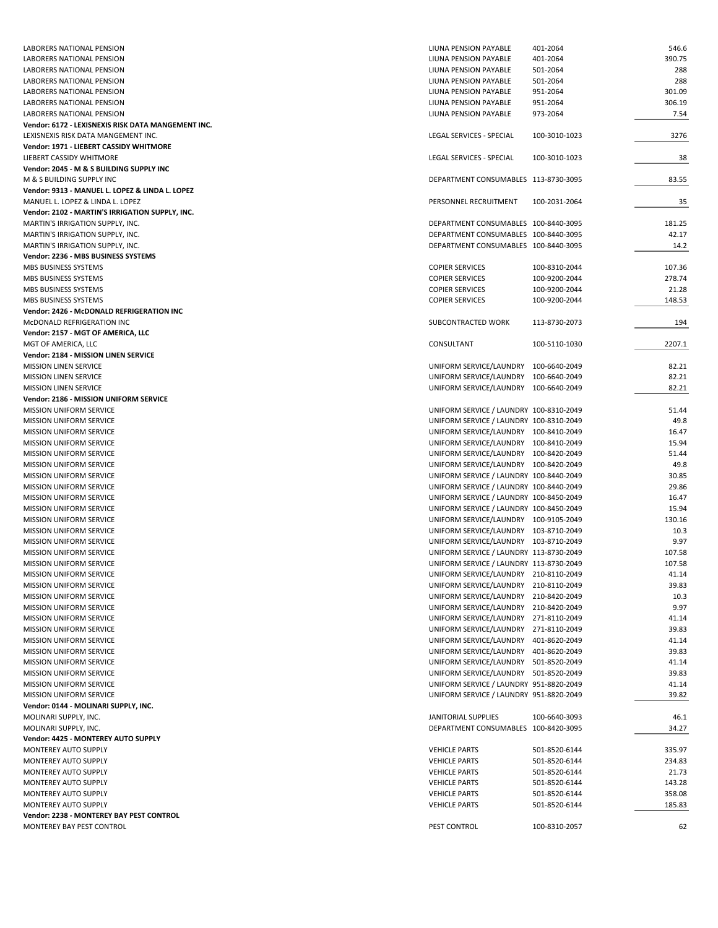| LABORERS NATIONAL PENSION                          | LIUNA PENSION PAYABLE                   | 401-2064      | 546.6  |
|----------------------------------------------------|-----------------------------------------|---------------|--------|
| LABORERS NATIONAL PENSION                          | LIUNA PENSION PAYABLE                   | 401-2064      | 390.75 |
| LABORERS NATIONAL PENSION                          | LIUNA PENSION PAYABLE                   | 501-2064      | 288    |
| LABORERS NATIONAL PENSION                          | LIUNA PENSION PAYABLE                   | 501-2064      | 288    |
| LABORERS NATIONAL PENSION                          | LIUNA PENSION PAYABLE                   | 951-2064      | 301.09 |
| LABORERS NATIONAL PENSION                          | LIUNA PENSION PAYABLE                   | 951-2064      | 306.19 |
|                                                    |                                         |               | 7.54   |
| LABORERS NATIONAL PENSION                          | LIUNA PENSION PAYABLE                   | 973-2064      |        |
| Vendor: 6172 - LEXISNEXIS RISK DATA MANGEMENT INC. |                                         |               |        |
| LEXISNEXIS RISK DATA MANGEMENT INC.                | LEGAL SERVICES - SPECIAL                | 100-3010-1023 | 3276   |
| Vendor: 1971 - LIEBERT CASSIDY WHITMORE            |                                         |               |        |
| LIEBERT CASSIDY WHITMORE                           | LEGAL SERVICES - SPECIAL                | 100-3010-1023 | 38     |
| Vendor: 2045 - M & S BUILDING SUPPLY INC           |                                         |               |        |
| M & S BUILDING SUPPLY INC                          | DEPARTMENT CONSUMABLES 113-8730-3095    |               | 83.55  |
| Vendor: 9313 - MANUEL L. LOPEZ & LINDA L. LOPEZ    |                                         |               |        |
| MANUEL L. LOPEZ & LINDA L. LOPEZ                   | PERSONNEL RECRUITMENT                   | 100-2031-2064 | 35     |
| Vendor: 2102 - MARTIN'S IRRIGATION SUPPLY, INC.    |                                         |               |        |
| MARTIN'S IRRIGATION SUPPLY, INC.                   | DEPARTMENT CONSUMABLES 100-8440-3095    |               | 181.25 |
| MARTIN'S IRRIGATION SUPPLY, INC.                   | DEPARTMENT CONSUMABLES 100-8440-3095    |               | 42.17  |
|                                                    |                                         |               |        |
| MARTIN'S IRRIGATION SUPPLY, INC.                   | DEPARTMENT CONSUMABLES 100-8440-3095    |               | 14.2   |
| Vendor: 2236 - MBS BUSINESS SYSTEMS                |                                         |               |        |
| MBS BUSINESS SYSTEMS                               | <b>COPIER SERVICES</b>                  | 100-8310-2044 | 107.36 |
| MBS BUSINESS SYSTEMS                               | <b>COPIER SERVICES</b>                  | 100-9200-2044 | 278.74 |
| MBS BUSINESS SYSTEMS                               | <b>COPIER SERVICES</b>                  | 100-9200-2044 | 21.28  |
| MBS BUSINESS SYSTEMS                               | <b>COPIER SERVICES</b>                  | 100-9200-2044 | 148.53 |
| Vendor: 2426 - McDONALD REFRIGERATION INC          |                                         |               |        |
| MCDONALD REFRIGERATION INC                         | SUBCONTRACTED WORK                      | 113-8730-2073 | 194    |
| Vendor: 2157 - MGT OF AMERICA, LLC                 |                                         |               |        |
| MGT OF AMERICA, LLC                                | CONSULTANT                              | 100-5110-1030 | 2207.1 |
| Vendor: 2184 - MISSION LINEN SERVICE               |                                         |               |        |
|                                                    |                                         |               |        |
| <b>MISSION LINEN SERVICE</b>                       | UNIFORM SERVICE/LAUNDRY 100-6640-2049   |               | 82.21  |
| <b>MISSION LINEN SERVICE</b>                       | UNIFORM SERVICE/LAUNDRY 100-6640-2049   |               | 82.21  |
| <b>MISSION LINEN SERVICE</b>                       | UNIFORM SERVICE/LAUNDRY 100-6640-2049   |               | 82.21  |
| Vendor: 2186 - MISSION UNIFORM SERVICE             |                                         |               |        |
| <b>MISSION UNIFORM SERVICE</b>                     | UNIFORM SERVICE / LAUNDRY 100-8310-2049 |               | 51.44  |
| <b>MISSION UNIFORM SERVICE</b>                     | UNIFORM SERVICE / LAUNDRY 100-8310-2049 |               | 49.8   |
| MISSION UNIFORM SERVICE                            | UNIFORM SERVICE/LAUNDRY 100-8410-2049   |               | 16.47  |
| <b>MISSION UNIFORM SERVICE</b>                     | UNIFORM SERVICE/LAUNDRY 100-8410-2049   |               | 15.94  |
| <b>MISSION UNIFORM SERVICE</b>                     | UNIFORM SERVICE/LAUNDRY 100-8420-2049   |               | 51.44  |
| <b>MISSION UNIFORM SERVICE</b>                     | UNIFORM SERVICE/LAUNDRY 100-8420-2049   |               | 49.8   |
|                                                    | UNIFORM SERVICE / LAUNDRY 100-8440-2049 |               | 30.85  |
| MISSION UNIFORM SERVICE                            |                                         |               |        |
| <b>MISSION UNIFORM SERVICE</b>                     | UNIFORM SERVICE / LAUNDRY 100-8440-2049 |               | 29.86  |
| <b>MISSION UNIFORM SERVICE</b>                     | UNIFORM SERVICE / LAUNDRY 100-8450-2049 |               | 16.47  |
| MISSION UNIFORM SERVICE                            | UNIFORM SERVICE / LAUNDRY 100-8450-2049 |               | 15.94  |
| MISSION UNIFORM SERVICE                            | UNIFORM SERVICE/LAUNDRY 100-9105-2049   |               | 130.16 |
| <b>MISSION UNIFORM SERVICE</b>                     | UNIFORM SERVICE/LAUNDRY 103-8710-2049   |               | 10.3   |
| <b>MISSION UNIFORM SERVICE</b>                     | UNIFORM SERVICE/LAUNDRY 103-8710-2049   |               | 9.97   |
| <b>MISSION UNIFORM SERVICE</b>                     | UNIFORM SERVICE / LAUNDRY 113-8730-2049 |               | 107.58 |
| <b>MISSION UNIFORM SERVICE</b>                     | UNIFORM SERVICE / LAUNDRY 113-8730-2049 |               | 107.58 |
| <b>MISSION UNIFORM SERVICE</b>                     | UNIFORM SERVICE/LAUNDRY 210-8110-2049   |               | 41.14  |
| MISSION UNIFORM SERVICE                            | UNIFORM SERVICE/LAUNDRY 210-8110-2049   |               |        |
|                                                    |                                         |               | 39.83  |
| MISSION UNIFORM SERVICE                            | UNIFORM SERVICE/LAUNDRY                 | 210-8420-2049 | 10.3   |
| MISSION UNIFORM SERVICE                            | UNIFORM SERVICE/LAUNDRY 210-8420-2049   |               | 9.97   |
| <b>MISSION UNIFORM SERVICE</b>                     | UNIFORM SERVICE/LAUNDRY 271-8110-2049   |               | 41.14  |
| <b>MISSION UNIFORM SERVICE</b>                     | UNIFORM SERVICE/LAUNDRY 271-8110-2049   |               | 39.83  |
| MISSION UNIFORM SERVICE                            | UNIFORM SERVICE/LAUNDRY 401-8620-2049   |               | 41.14  |
| MISSION UNIFORM SERVICE                            | UNIFORM SERVICE/LAUNDRY 401-8620-2049   |               | 39.83  |
| MISSION UNIFORM SERVICE                            | UNIFORM SERVICE/LAUNDRY 501-8520-2049   |               | 41.14  |
| <b>MISSION UNIFORM SERVICE</b>                     | UNIFORM SERVICE/LAUNDRY                 | 501-8520-2049 | 39.83  |
| <b>MISSION UNIFORM SERVICE</b>                     | UNIFORM SERVICE / LAUNDRY 951-8820-2049 |               | 41.14  |
|                                                    | UNIFORM SERVICE / LAUNDRY 951-8820-2049 |               | 39.82  |
| MISSION UNIFORM SERVICE                            |                                         |               |        |
| Vendor: 0144 - MOLINARI SUPPLY, INC.               |                                         |               |        |
| MOLINARI SUPPLY, INC.                              | JANITORIAL SUPPLIES                     | 100-6640-3093 | 46.1   |
| MOLINARI SUPPLY, INC.                              | DEPARTMENT CONSUMABLES 100-8420-3095    |               | 34.27  |
| Vendor: 4425 - MONTEREY AUTO SUPPLY                |                                         |               |        |
| MONTEREY AUTO SUPPLY                               | <b>VEHICLE PARTS</b>                    | 501-8520-6144 | 335.97 |
| MONTEREY AUTO SUPPLY                               | <b>VEHICLE PARTS</b>                    | 501-8520-6144 | 234.83 |
| MONTEREY AUTO SUPPLY                               | <b>VEHICLE PARTS</b>                    | 501-8520-6144 | 21.73  |
| MONTEREY AUTO SUPPLY                               | <b>VEHICLE PARTS</b>                    | 501-8520-6144 | 143.28 |
| MONTEREY AUTO SUPPLY                               | <b>VEHICLE PARTS</b>                    | 501-8520-6144 | 358.08 |
|                                                    |                                         |               |        |
| MONTEREY AUTO SUPPLY                               | <b>VEHICLE PARTS</b>                    | 501-8520-6144 | 185.83 |
| Vendor: 2238 - MONTEREY BAY PEST CONTROL           |                                         |               |        |
| MONTEREY BAY PEST CONTROL                          | PEST CONTROL                            | 100-8310-2057 | 62     |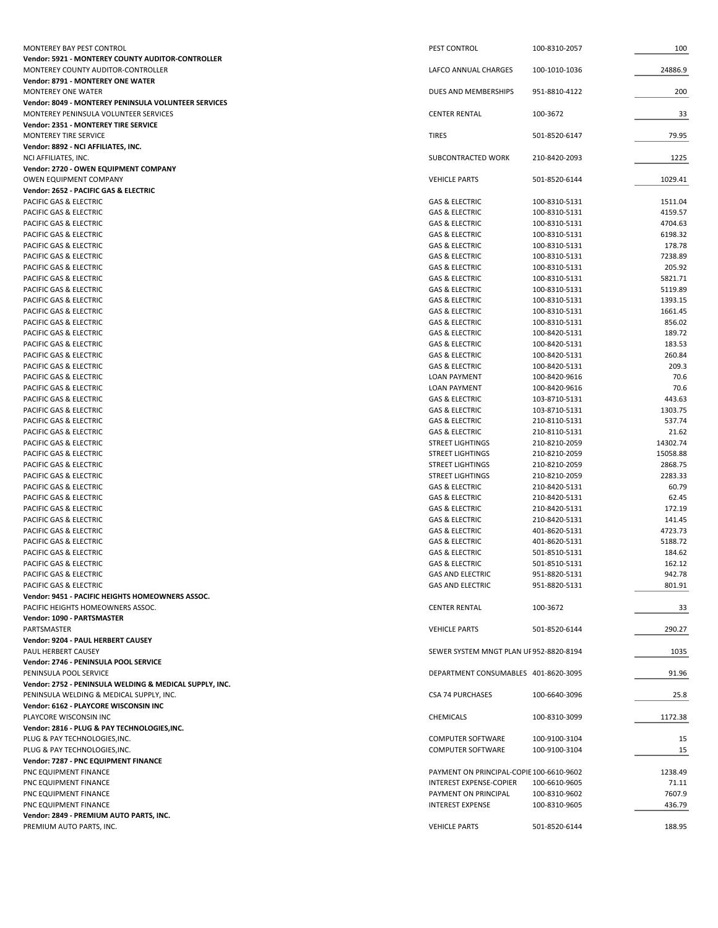| MONTEREY BAY PEST CONTROL                                       | PEST CONTROL                                                        | 100-8310-2057                  | 100               |
|-----------------------------------------------------------------|---------------------------------------------------------------------|--------------------------------|-------------------|
| Vendor: 5921 - MONTEREY COUNTY AUDITOR-CONTROLLER               |                                                                     |                                |                   |
| MONTEREY COUNTY AUDITOR-CONTROLLER                              | LAFCO ANNUAL CHARGES                                                | 100-1010-1036                  | 24886.9           |
| Vendor: 8791 - MONTEREY ONE WATER<br><b>MONTEREY ONE WATER</b>  | DUES AND MEMBERSHIPS                                                | 951-8810-4122                  | 200               |
| <b>Vendor: 8049 - MONTEREY PENINSULA VOLUNTEER SERVICES</b>     |                                                                     |                                |                   |
| MONTEREY PENINSULA VOLUNTEER SERVICES                           | <b>CENTER RENTAL</b>                                                | 100-3672                       | 33                |
| Vendor: 2351 - MONTEREY TIRE SERVICE                            |                                                                     |                                |                   |
| MONTEREY TIRE SERVICE                                           | <b>TIRES</b>                                                        | 501-8520-6147                  | 79.95             |
| Vendor: 8892 - NCI AFFILIATES, INC.                             |                                                                     |                                |                   |
| NCI AFFILIATES, INC.                                            | SUBCONTRACTED WORK                                                  | 210-8420-2093                  | 1225              |
| Vendor: 2720 - OWEN EQUIPMENT COMPANY                           |                                                                     |                                |                   |
| OWEN EQUIPMENT COMPANY                                          | <b>VEHICLE PARTS</b>                                                | 501-8520-6144                  | 1029.41           |
| Vendor: 2652 - PACIFIC GAS & ELECTRIC<br>PACIFIC GAS & ELECTRIC | <b>GAS &amp; ELECTRIC</b>                                           | 100-8310-5131                  | 1511.04           |
| PACIFIC GAS & ELECTRIC                                          | <b>GAS &amp; ELECTRIC</b>                                           | 100-8310-5131                  | 4159.57           |
| PACIFIC GAS & ELECTRIC                                          | <b>GAS &amp; ELECTRIC</b>                                           | 100-8310-5131                  | 4704.63           |
| PACIFIC GAS & ELECTRIC                                          | <b>GAS &amp; ELECTRIC</b>                                           | 100-8310-5131                  | 6198.32           |
| PACIFIC GAS & ELECTRIC                                          | <b>GAS &amp; ELECTRIC</b>                                           | 100-8310-5131                  | 178.78            |
| PACIFIC GAS & ELECTRIC                                          | <b>GAS &amp; ELECTRIC</b>                                           | 100-8310-5131                  | 7238.89           |
| PACIFIC GAS & ELECTRIC                                          | <b>GAS &amp; ELECTRIC</b>                                           | 100-8310-5131                  | 205.92            |
| PACIFIC GAS & ELECTRIC                                          | <b>GAS &amp; ELECTRIC</b>                                           | 100-8310-5131                  | 5821.71           |
| PACIFIC GAS & ELECTRIC                                          | <b>GAS &amp; ELECTRIC</b>                                           | 100-8310-5131                  | 5119.89           |
| PACIFIC GAS & ELECTRIC                                          | <b>GAS &amp; ELECTRIC</b>                                           | 100-8310-5131                  | 1393.15           |
| PACIFIC GAS & ELECTRIC<br>PACIFIC GAS & ELECTRIC                | <b>GAS &amp; ELECTRIC</b><br><b>GAS &amp; ELECTRIC</b>              | 100-8310-5131<br>100-8310-5131 | 1661.45<br>856.02 |
| PACIFIC GAS & ELECTRIC                                          | <b>GAS &amp; ELECTRIC</b>                                           | 100-8420-5131                  | 189.72            |
| PACIFIC GAS & ELECTRIC                                          | <b>GAS &amp; ELECTRIC</b>                                           | 100-8420-5131                  | 183.53            |
| PACIFIC GAS & ELECTRIC                                          | <b>GAS &amp; ELECTRIC</b>                                           | 100-8420-5131                  | 260.84            |
| PACIFIC GAS & ELECTRIC                                          | <b>GAS &amp; ELECTRIC</b>                                           | 100-8420-5131                  | 209.3             |
| PACIFIC GAS & ELECTRIC                                          | <b>LOAN PAYMENT</b>                                                 | 100-8420-9616                  | 70.6              |
| PACIFIC GAS & ELECTRIC                                          | <b>LOAN PAYMENT</b>                                                 | 100-8420-9616                  | 70.6              |
| PACIFIC GAS & ELECTRIC                                          | <b>GAS &amp; ELECTRIC</b>                                           | 103-8710-5131                  | 443.63            |
| PACIFIC GAS & ELECTRIC                                          | <b>GAS &amp; ELECTRIC</b>                                           | 103-8710-5131                  | 1303.75           |
| PACIFIC GAS & ELECTRIC                                          | <b>GAS &amp; ELECTRIC</b>                                           | 210-8110-5131                  | 537.74            |
| PACIFIC GAS & ELECTRIC<br>PACIFIC GAS & ELECTRIC                | <b>GAS &amp; ELECTRIC</b><br><b>STREET LIGHTINGS</b>                | 210-8110-5131<br>210-8210-2059 | 21.62<br>14302.74 |
| PACIFIC GAS & ELECTRIC                                          | STREET LIGHTINGS                                                    | 210-8210-2059                  | 15058.88          |
| PACIFIC GAS & ELECTRIC                                          | <b>STREET LIGHTINGS</b>                                             | 210-8210-2059                  | 2868.75           |
| PACIFIC GAS & ELECTRIC                                          | <b>STREET LIGHTINGS</b>                                             | 210-8210-2059                  | 2283.33           |
| PACIFIC GAS & ELECTRIC                                          | <b>GAS &amp; ELECTRIC</b>                                           | 210-8420-5131                  | 60.79             |
| PACIFIC GAS & ELECTRIC                                          | <b>GAS &amp; ELECTRIC</b>                                           | 210-8420-5131                  | 62.45             |
| PACIFIC GAS & ELECTRIC                                          | <b>GAS &amp; ELECTRIC</b>                                           | 210-8420-5131                  | 172.19            |
| PACIFIC GAS & ELECTRIC                                          | <b>GAS &amp; ELECTRIC</b>                                           | 210-8420-5131                  | 141.45            |
| PACIFIC GAS & ELECTRIC                                          | <b>GAS &amp; ELECTRIC</b>                                           | 401-8620-5131                  | 4723.73           |
| PACIFIC GAS & ELECTRIC                                          | <b>GAS &amp; ELECTRIC</b>                                           | 401-8620-5131                  | 5188.72           |
| PACIFIC GAS & ELECTRIC<br>PACIFIC GAS & ELECTRIC                | <b>GAS &amp; ELECTRIC</b><br><b>GAS &amp; ELECTRIC</b>              | 501-8510-5131<br>501-8510-5131 | 184.62<br>162.12  |
| PACIFIC GAS & ELECTRIC                                          | <b>GAS AND ELECTRIC</b>                                             | 951-8820-5131                  | 942.78            |
| PACIFIC GAS & ELECTRIC                                          | <b>GAS AND ELECTRIC</b>                                             | 951-8820-5131                  | 801.91            |
| Vendor: 9451 - PACIFIC HEIGHTS HOMEOWNERS ASSOC.                |                                                                     |                                |                   |
| PACIFIC HEIGHTS HOMEOWNERS ASSOC.                               | <b>CENTER RENTAL</b>                                                | 100-3672                       | 33                |
| Vendor: 1090 - PARTSMASTER                                      |                                                                     |                                |                   |
| PARTSMASTER                                                     | <b>VEHICLE PARTS</b>                                                | 501-8520-6144                  | 290.27            |
| Vendor: 9204 - PAUL HERBERT CAUSEY                              |                                                                     |                                |                   |
| PAUL HERBERT CAUSEY                                             | SEWER SYSTEM MNGT PLAN UF 952-8820-8194                             |                                | 1035              |
| Vendor: 2746 - PENINSULA POOL SERVICE<br>PENINSULA POOL SERVICE | DEPARTMENT CONSUMABLES 401-8620-3095                                |                                | 91.96             |
| Vendor: 2752 - PENINSULA WELDING & MEDICAL SUPPLY, INC.         |                                                                     |                                |                   |
| PENINSULA WELDING & MEDICAL SUPPLY, INC.                        | <b>CSA 74 PURCHASES</b>                                             | 100-6640-3096                  | 25.8              |
| Vendor: 6162 - PLAYCORE WISCONSIN INC                           |                                                                     |                                |                   |
| PLAYCORE WISCONSIN INC                                          | CHEMICALS                                                           | 100-8310-3099                  | 1172.38           |
| Vendor: 2816 - PLUG & PAY TECHNOLOGIES, INC.                    |                                                                     |                                |                   |
| PLUG & PAY TECHNOLOGIES, INC.                                   | <b>COMPUTER SOFTWARE</b>                                            | 100-9100-3104                  | 15                |
| PLUG & PAY TECHNOLOGIES, INC.                                   | <b>COMPUTER SOFTWARE</b>                                            | 100-9100-3104                  | 15                |
| Vendor: 7287 - PNC EQUIPMENT FINANCE                            |                                                                     |                                |                   |
| PNC EQUIPMENT FINANCE<br>PNC EQUIPMENT FINANCE                  | PAYMENT ON PRINCIPAL-COPIE 100-6610-9602<br>INTEREST EXPENSE-COPIER |                                | 1238.49<br>71.11  |
| PNC EQUIPMENT FINANCE                                           | PAYMENT ON PRINCIPAL                                                | 100-6610-9605<br>100-8310-9602 | 7607.9            |
| PNC EQUIPMENT FINANCE                                           | <b>INTEREST EXPENSE</b>                                             | 100-8310-9605                  | 436.79            |
| Vendor: 2849 - PREMIUM AUTO PARTS, INC.                         |                                                                     |                                |                   |
| PREMIUM AUTO PARTS, INC.                                        | <b>VEHICLE PARTS</b>                                                | 501-8520-6144                  | 188.95            |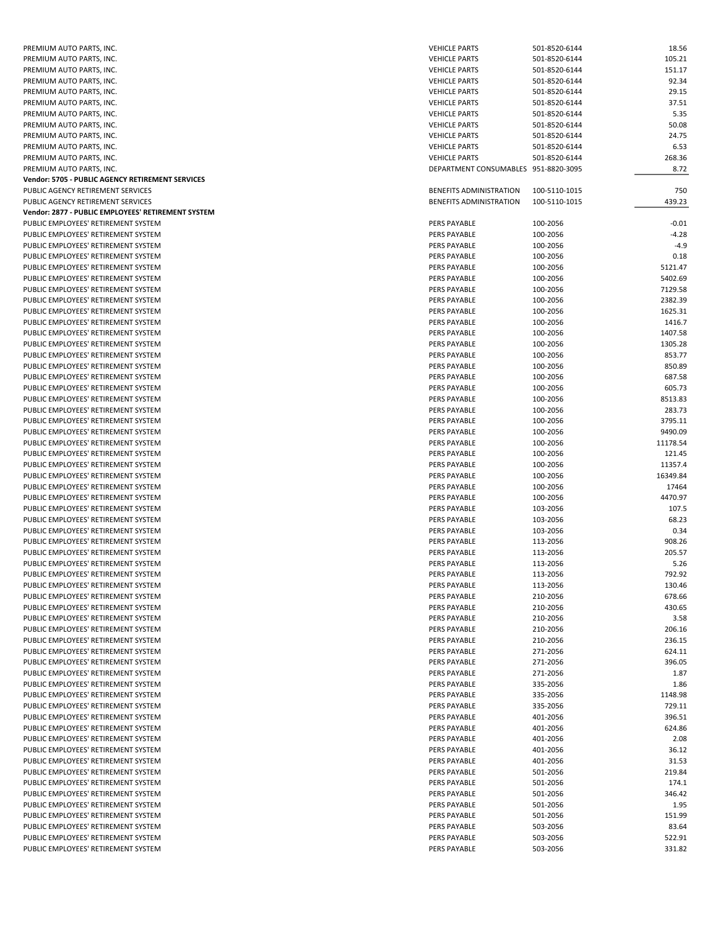| PREMIUM AUTO PARTS, INC.                           | <b>VEHICLE PARTS</b>                 | 501-8520-6144 | 18.56    |
|----------------------------------------------------|--------------------------------------|---------------|----------|
| PREMIUM AUTO PARTS, INC.                           | <b>VEHICLE PARTS</b>                 | 501-8520-6144 | 105.21   |
| PREMIUM AUTO PARTS, INC.                           | <b>VEHICLE PARTS</b>                 | 501-8520-6144 | 151.17   |
|                                                    |                                      |               |          |
| PREMIUM AUTO PARTS, INC.                           | <b>VEHICLE PARTS</b>                 | 501-8520-6144 | 92.34    |
| PREMIUM AUTO PARTS, INC.                           | <b>VEHICLE PARTS</b>                 | 501-8520-6144 | 29.15    |
| PREMIUM AUTO PARTS, INC.                           | <b>VEHICLE PARTS</b>                 | 501-8520-6144 | 37.51    |
| PREMIUM AUTO PARTS, INC.                           | <b>VEHICLE PARTS</b>                 | 501-8520-6144 | 5.35     |
| PREMIUM AUTO PARTS, INC.                           | <b>VEHICLE PARTS</b>                 | 501-8520-6144 | 50.08    |
|                                                    |                                      |               |          |
| PREMIUM AUTO PARTS, INC.                           | <b>VEHICLE PARTS</b>                 | 501-8520-6144 | 24.75    |
| PREMIUM AUTO PARTS, INC.                           | <b>VEHICLE PARTS</b>                 | 501-8520-6144 | 6.53     |
| PREMIUM AUTO PARTS, INC.                           | <b>VEHICLE PARTS</b>                 | 501-8520-6144 | 268.36   |
| PREMIUM AUTO PARTS, INC.                           | DEPARTMENT CONSUMABLES 951-8820-3095 |               | 8.72     |
| Vendor: 5705 - PUBLIC AGENCY RETIREMENT SERVICES   |                                      |               |          |
|                                                    |                                      |               |          |
| PUBLIC AGENCY RETIREMENT SERVICES                  | BENEFITS ADMINISTRATION              | 100-5110-1015 | 750      |
| PUBLIC AGENCY RETIREMENT SERVICES                  | BENEFITS ADMINISTRATION              | 100-5110-1015 | 439.23   |
| Vendor: 2877 - PUBLIC EMPLOYEES' RETIREMENT SYSTEM |                                      |               |          |
| PUBLIC EMPLOYEES' RETIREMENT SYSTEM                | PERS PAYABLE                         | 100-2056      | $-0.01$  |
| PUBLIC EMPLOYEES' RETIREMENT SYSTEM                | PERS PAYABLE                         | 100-2056      | $-4.28$  |
|                                                    |                                      |               |          |
| PUBLIC EMPLOYEES' RETIREMENT SYSTEM                | PERS PAYABLE                         | 100-2056      | $-4.9$   |
| PUBLIC EMPLOYEES' RETIREMENT SYSTEM                | PERS PAYABLE                         | 100-2056      | 0.18     |
| PUBLIC EMPLOYEES' RETIREMENT SYSTEM                | PERS PAYABLE                         | 100-2056      | 5121.47  |
| PUBLIC EMPLOYEES' RETIREMENT SYSTEM                | PERS PAYABLE                         | 100-2056      | 5402.69  |
| PUBLIC EMPLOYEES' RETIREMENT SYSTEM                |                                      |               |          |
|                                                    | PERS PAYABLE                         | 100-2056      | 7129.58  |
| PUBLIC EMPLOYEES' RETIREMENT SYSTEM                | PERS PAYABLE                         | 100-2056      | 2382.39  |
| PUBLIC EMPLOYEES' RETIREMENT SYSTEM                | PERS PAYABLE                         | 100-2056      | 1625.31  |
| PUBLIC EMPLOYEES' RETIREMENT SYSTEM                | PERS PAYABLE                         | 100-2056      | 1416.7   |
| PUBLIC EMPLOYEES' RETIREMENT SYSTEM                | PERS PAYABLE                         | 100-2056      | 1407.58  |
|                                                    |                                      |               |          |
| PUBLIC EMPLOYEES' RETIREMENT SYSTEM                | PERS PAYABLE                         | 100-2056      | 1305.28  |
| PUBLIC EMPLOYEES' RETIREMENT SYSTEM                | PERS PAYABLE                         | 100-2056      | 853.77   |
| PUBLIC EMPLOYEES' RETIREMENT SYSTEM                | PERS PAYABLE                         | 100-2056      | 850.89   |
| PUBLIC EMPLOYEES' RETIREMENT SYSTEM                | PERS PAYABLE                         | 100-2056      | 687.58   |
| PUBLIC EMPLOYEES' RETIREMENT SYSTEM                | PERS PAYABLE                         | 100-2056      | 605.73   |
|                                                    |                                      |               |          |
| PUBLIC EMPLOYEES' RETIREMENT SYSTEM                | PERS PAYABLE                         | 100-2056      | 8513.83  |
| PUBLIC EMPLOYEES' RETIREMENT SYSTEM                | PERS PAYABLE                         | 100-2056      | 283.73   |
| PUBLIC EMPLOYEES' RETIREMENT SYSTEM                | PERS PAYABLE                         | 100-2056      | 3795.11  |
| PUBLIC EMPLOYEES' RETIREMENT SYSTEM                | PERS PAYABLE                         | 100-2056      | 9490.09  |
|                                                    |                                      |               |          |
| PUBLIC EMPLOYEES' RETIREMENT SYSTEM                | PERS PAYABLE                         | 100-2056      | 11178.54 |
| PUBLIC EMPLOYEES' RETIREMENT SYSTEM                | PERS PAYABLE                         | 100-2056      | 121.45   |
| PUBLIC EMPLOYEES' RETIREMENT SYSTEM                | PERS PAYABLE                         | 100-2056      | 11357.4  |
| PUBLIC EMPLOYEES' RETIREMENT SYSTEM                | PERS PAYABLE                         | 100-2056      | 16349.84 |
| PUBLIC EMPLOYEES' RETIREMENT SYSTEM                | PERS PAYABLE                         | 100-2056      | 17464    |
|                                                    |                                      |               |          |
| PUBLIC EMPLOYEES' RETIREMENT SYSTEM                | PERS PAYABLE                         | 100-2056      | 4470.97  |
| PUBLIC EMPLOYEES' RETIREMENT SYSTEM                | PERS PAYABLE                         | 103-2056      | 107.5    |
| PUBLIC EMPLOYEES' RETIREMENT SYSTEM                | PERS PAYABLE                         | 103-2056      | 68.23    |
| PUBLIC EMPLOYEES' RETIREMENT SYSTEM                | PERS PAYABLE                         | 103-2056      | 0.34     |
|                                                    |                                      |               |          |
|                                                    |                                      |               |          |
| PUBLIC EMPLOYEES' RETIREMENT SYSTEM                | PERS PAYABLE                         | 113-2056      | 908.26   |
| PUBLIC EMPLOYEES' RETIREMENT SYSTEM                | PERS PAYABLE                         | 113-2056      | 205.57   |
| PUBLIC EMPLOYEES' RETIREMENT SYSTEM                | PERS PAYABLE                         | 113-2056      | 5.26     |
| PUBLIC EMPLOYEES' RETIREMENT SYSTEM                | PERS PAYABLE                         | 113-2056      | 792.92   |
|                                                    |                                      |               |          |
| PUBLIC EMPLOYEES' RETIREMENT SYSTEM                | PERS PAYABLE                         | 113-2056      | 130.46   |
| PUBLIC EMPLOYEES' RETIREMENT SYSTEM                | PERS PAYABLE                         | 210-2056      | 678.66   |
| PUBLIC EMPLOYEES' RETIREMENT SYSTEM                | PERS PAYABLE                         | 210-2056      | 430.65   |
| PUBLIC EMPLOYEES' RETIREMENT SYSTEM                | PERS PAYABLE                         | 210-2056      | 3.58     |
| PUBLIC EMPLOYEES' RETIREMENT SYSTEM                | PERS PAYABLE                         | 210-2056      | 206.16   |
| PUBLIC EMPLOYEES' RETIREMENT SYSTEM                |                                      |               |          |
|                                                    | PERS PAYABLE                         | 210-2056      | 236.15   |
| PUBLIC EMPLOYEES' RETIREMENT SYSTEM                | PERS PAYABLE                         | 271-2056      | 624.11   |
| PUBLIC EMPLOYEES' RETIREMENT SYSTEM                | PERS PAYABLE                         | 271-2056      | 396.05   |
| PUBLIC EMPLOYEES' RETIREMENT SYSTEM                | PERS PAYABLE                         | 271-2056      | 1.87     |
| PUBLIC EMPLOYEES' RETIREMENT SYSTEM                | PERS PAYABLE                         | 335-2056      | 1.86     |
|                                                    |                                      |               |          |
| PUBLIC EMPLOYEES' RETIREMENT SYSTEM                | PERS PAYABLE                         | 335-2056      | 1148.98  |
| PUBLIC EMPLOYEES' RETIREMENT SYSTEM                | PERS PAYABLE                         | 335-2056      | 729.11   |
| PUBLIC EMPLOYEES' RETIREMENT SYSTEM                | PERS PAYABLE                         | 401-2056      | 396.51   |
| PUBLIC EMPLOYEES' RETIREMENT SYSTEM                | PERS PAYABLE                         | 401-2056      | 624.86   |
| PUBLIC EMPLOYEES' RETIREMENT SYSTEM                | PERS PAYABLE                         | 401-2056      | 2.08     |
|                                                    |                                      |               |          |
| PUBLIC EMPLOYEES' RETIREMENT SYSTEM                | PERS PAYABLE                         | 401-2056      | 36.12    |
| PUBLIC EMPLOYEES' RETIREMENT SYSTEM                | PERS PAYABLE                         | 401-2056      | 31.53    |
| PUBLIC EMPLOYEES' RETIREMENT SYSTEM                | PERS PAYABLE                         | 501-2056      | 219.84   |
| PUBLIC EMPLOYEES' RETIREMENT SYSTEM                | PERS PAYABLE                         | 501-2056      | 174.1    |
|                                                    |                                      |               |          |
| PUBLIC EMPLOYEES' RETIREMENT SYSTEM                | PERS PAYABLE                         | 501-2056      | 346.42   |
| PUBLIC EMPLOYEES' RETIREMENT SYSTEM                | PERS PAYABLE                         | 501-2056      | 1.95     |
| PUBLIC EMPLOYEES' RETIREMENT SYSTEM                | PERS PAYABLE                         | 501-2056      | 151.99   |
| PUBLIC EMPLOYEES' RETIREMENT SYSTEM                | PERS PAYABLE                         | 503-2056      | 83.64    |
| PUBLIC EMPLOYEES' RETIREMENT SYSTEM                | PERS PAYABLE                         | 503-2056      | 522.91   |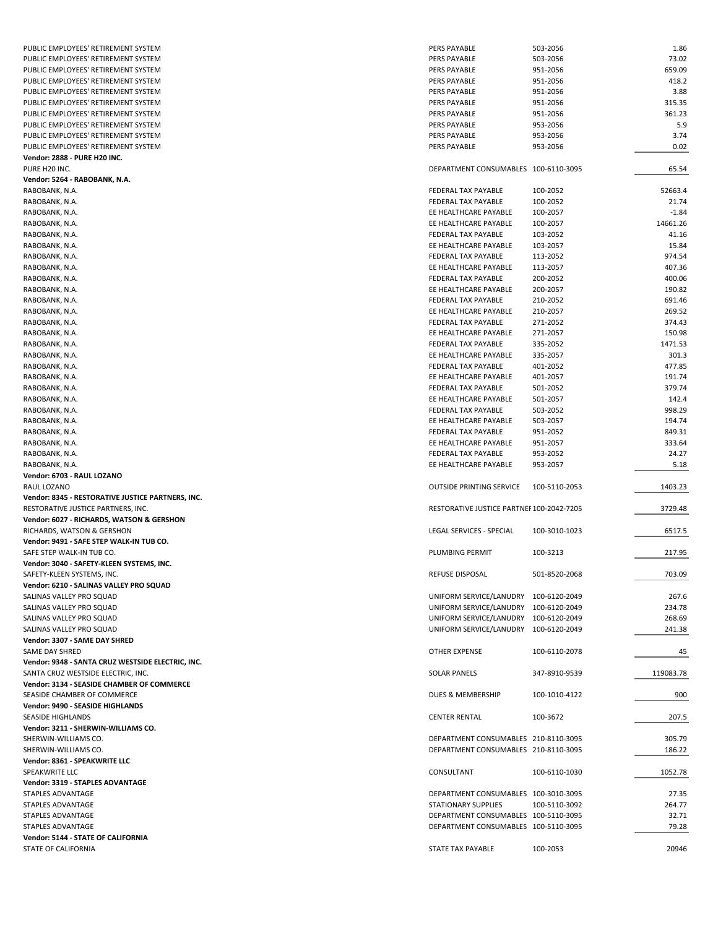| PUBLIC EMPLOYEES' RETIREMENT SYSTEM               | PERS PAYABLE                              | 503-2056      | 1.86      |
|---------------------------------------------------|-------------------------------------------|---------------|-----------|
| PUBLIC EMPLOYEES' RETIREMENT SYSTEM               | PERS PAYABLE                              | 503-2056      | 73.02     |
| PUBLIC EMPLOYEES' RETIREMENT SYSTEM               | PERS PAYABLE                              | 951-2056      | 659.09    |
| PUBLIC EMPLOYEES' RETIREMENT SYSTEM               | PERS PAYABLE                              | 951-2056      | 418.2     |
| PUBLIC EMPLOYEES' RETIREMENT SYSTEM               | PERS PAYABLE                              | 951-2056      | 3.88      |
|                                                   |                                           |               |           |
| PUBLIC EMPLOYEES' RETIREMENT SYSTEM               | PERS PAYABLE                              | 951-2056      | 315.35    |
| PUBLIC EMPLOYEES' RETIREMENT SYSTEM               | PERS PAYABLE                              | 951-2056      | 361.23    |
| PUBLIC EMPLOYEES' RETIREMENT SYSTEM               | PERS PAYABLE                              | 953-2056      | 5.9       |
| PUBLIC EMPLOYEES' RETIREMENT SYSTEM               | PERS PAYABLE                              | 953-2056      | 3.74      |
| PUBLIC EMPLOYEES' RETIREMENT SYSTEM               | PERS PAYABLE                              | 953-2056      | 0.02      |
|                                                   |                                           |               |           |
| <b>Vendor: 2888 - PURE H20 INC.</b>               |                                           |               |           |
| PURE H20 INC.                                     | DEPARTMENT CONSUMABLES 100-6110-3095      |               | 65.54     |
| Vendor: 5264 - RABOBANK, N.A.                     |                                           |               |           |
| RABOBANK, N.A.                                    | FEDERAL TAX PAYABLE                       | 100-2052      | 52663.4   |
| RABOBANK, N.A.                                    | FEDERAL TAX PAYABLE                       | 100-2052      | 21.74     |
|                                                   |                                           |               |           |
| RABOBANK, N.A.                                    | EE HEALTHCARE PAYABLE                     | 100-2057      | $-1.84$   |
| RABOBANK, N.A.                                    | EE HEALTHCARE PAYABLE                     | 100-2057      | 14661.26  |
| RABOBANK, N.A.                                    | FEDERAL TAX PAYABLE                       | 103-2052      | 41.16     |
| RABOBANK, N.A.                                    | EE HEALTHCARE PAYABLE                     | 103-2057      | 15.84     |
| RABOBANK, N.A.                                    | FEDERAL TAX PAYABLE                       | 113-2052      | 974.54    |
|                                                   |                                           |               |           |
| RABOBANK, N.A.                                    | EE HEALTHCARE PAYABLE                     | 113-2057      | 407.36    |
| RABOBANK, N.A.                                    | FEDERAL TAX PAYABLE                       | 200-2052      | 400.06    |
| RABOBANK, N.A.                                    | EE HEALTHCARE PAYABLE                     | 200-2057      | 190.82    |
| RABOBANK, N.A.                                    | FEDERAL TAX PAYABLE                       | 210-2052      | 691.46    |
| RABOBANK, N.A.                                    | EE HEALTHCARE PAYABLE                     | 210-2057      | 269.52    |
|                                                   |                                           |               |           |
| RABOBANK, N.A.                                    | FEDERAL TAX PAYABLE                       | 271-2052      | 374.43    |
| RABOBANK, N.A.                                    | EE HEALTHCARE PAYABLE                     | 271-2057      | 150.98    |
| RABOBANK, N.A.                                    | FEDERAL TAX PAYABLE                       | 335-2052      | 1471.53   |
| RABOBANK, N.A.                                    | EE HEALTHCARE PAYABLE                     | 335-2057      | 301.3     |
| RABOBANK, N.A.                                    | FEDERAL TAX PAYABLE                       | 401-2052      | 477.85    |
|                                                   |                                           |               |           |
| RABOBANK, N.A.                                    | EE HEALTHCARE PAYABLE                     | 401-2057      | 191.74    |
| RABOBANK, N.A.                                    | FEDERAL TAX PAYABLE                       | 501-2052      | 379.74    |
| RABOBANK, N.A.                                    | EE HEALTHCARE PAYABLE                     | 501-2057      | 142.4     |
| RABOBANK, N.A.                                    | FEDERAL TAX PAYABLE                       | 503-2052      | 998.29    |
| RABOBANK, N.A.                                    |                                           |               | 194.74    |
|                                                   | EE HEALTHCARE PAYABLE                     | 503-2057      |           |
| RABOBANK, N.A.                                    | FEDERAL TAX PAYABLE                       | 951-2052      | 849.31    |
| RABOBANK, N.A.                                    | EE HEALTHCARE PAYABLE                     | 951-2057      | 333.64    |
| RABOBANK, N.A.                                    | FEDERAL TAX PAYABLE                       | 953-2052      | 24.27     |
| RABOBANK, N.A.                                    | EE HEALTHCARE PAYABLE                     | 953-2057      | 5.18      |
|                                                   |                                           |               |           |
| Vendor: 6703 - RAUL LOZANO                        |                                           |               |           |
| RAUL LOZANO                                       | <b>OUTSIDE PRINTING SERVICE</b>           | 100-5110-2053 | 1403.23   |
| Vendor: 8345 - RESTORATIVE JUSTICE PARTNERS, INC. |                                           |               |           |
| RESTORATIVE JUSTICE PARTNERS, INC.                | RESTORATIVE JUSTICE PARTNEF 100-2042-7205 |               | 3729.48   |
| Vendor: 6027 - RICHARDS, WATSON & GERSHON         |                                           |               |           |
|                                                   |                                           |               |           |
| RICHARDS, WATSON & GERSHON                        | LEGAL SERVICES - SPECIAL                  | 100-3010-1023 | 6517.5    |
| Vendor: 9491 - SAFE STEP WALK-IN TUB CO.          |                                           |               |           |
| SAFE STEP WALK-IN TUB CO.                         | PLUMBING PERMIT                           | 100-3213      | 217.95    |
| Vendor: 3040 - SAFETY-KLEEN SYSTEMS, INC.         |                                           |               |           |
| SAFETY-KLEEN SYSTEMS, INC.                        | <b>REFUSE DISPOSAL</b>                    | 501-8520-2068 | 703.09    |
|                                                   |                                           |               |           |
| Vendor: 6210 - SALINAS VALLEY PRO SQUAD           |                                           |               |           |
| SALINAS VALLEY PRO SQUAD                          | UNIFORM SERVICE/LANUDRY 100-6120-2049     |               | 267.6     |
| SALINAS VALLEY PRO SQUAD                          | UNIFORM SERVICE/LANUDRY 100-6120-2049     |               | 234.78    |
| SALINAS VALLEY PRO SQUAD                          | UNIFORM SERVICE/LANUDRY 100-6120-2049     |               | 268.69    |
| SALINAS VALLEY PRO SQUAD                          | UNIFORM SERVICE/LANUDRY 100-6120-2049     |               | 241.38    |
|                                                   |                                           |               |           |
| Vendor: 3307 - SAME DAY SHRED                     |                                           |               |           |
| SAME DAY SHRED                                    | OTHER EXPENSE                             | 100-6110-2078 | 45        |
| Vendor: 9348 - SANTA CRUZ WESTSIDE ELECTRIC, INC. |                                           |               |           |
| SANTA CRUZ WESTSIDE ELECTRIC, INC.                | <b>SOLAR PANELS</b>                       | 347-8910-9539 | 119083.78 |
| Vendor: 3134 - SEASIDE CHAMBER OF COMMERCE        |                                           |               |           |
|                                                   |                                           |               |           |
| SEASIDE CHAMBER OF COMMERCE                       | DUES & MEMBERSHIP                         | 100-1010-4122 | 900       |
| Vendor: 9490 - SEASIDE HIGHLANDS                  |                                           |               |           |
| <b>SEASIDE HIGHLANDS</b>                          | <b>CENTER RENTAL</b>                      | 100-3672      | 207.5     |
| Vendor: 3211 - SHERWIN-WILLIAMS CO.               |                                           |               |           |
| SHERWIN-WILLIAMS CO.                              | DEPARTMENT CONSUMABLES 210-8110-3095      |               | 305.79    |
|                                                   |                                           |               |           |
| SHERWIN-WILLIAMS CO.                              | DEPARTMENT CONSUMABLES 210-8110-3095      |               | 186.22    |
| Vendor: 8361 - SPEAKWRITE LLC                     |                                           |               |           |
| SPEAKWRITE LLC                                    | CONSULTANT                                | 100-6110-1030 | 1052.78   |
| Vendor: 3319 - STAPLES ADVANTAGE                  |                                           |               |           |
| STAPLES ADVANTAGE                                 | DEPARTMENT CONSUMABLES 100-3010-3095      |               | 27.35     |
|                                                   |                                           |               |           |
| STAPLES ADVANTAGE                                 | <b>STATIONARY SUPPLIES</b>                | 100-5110-3092 | 264.77    |
| STAPLES ADVANTAGE                                 | DEPARTMENT CONSUMABLES 100-5110-3095      |               | 32.71     |
| STAPLES ADVANTAGE                                 | DEPARTMENT CONSUMABLES 100-5110-3095      |               | 79.28     |
| Vendor: 5144 - STATE OF CALIFORNIA                |                                           |               |           |
|                                                   | STATE TAX PAYABLE                         | 100-2053      | 20946     |
| STATE OF CALIFORNIA                               |                                           |               |           |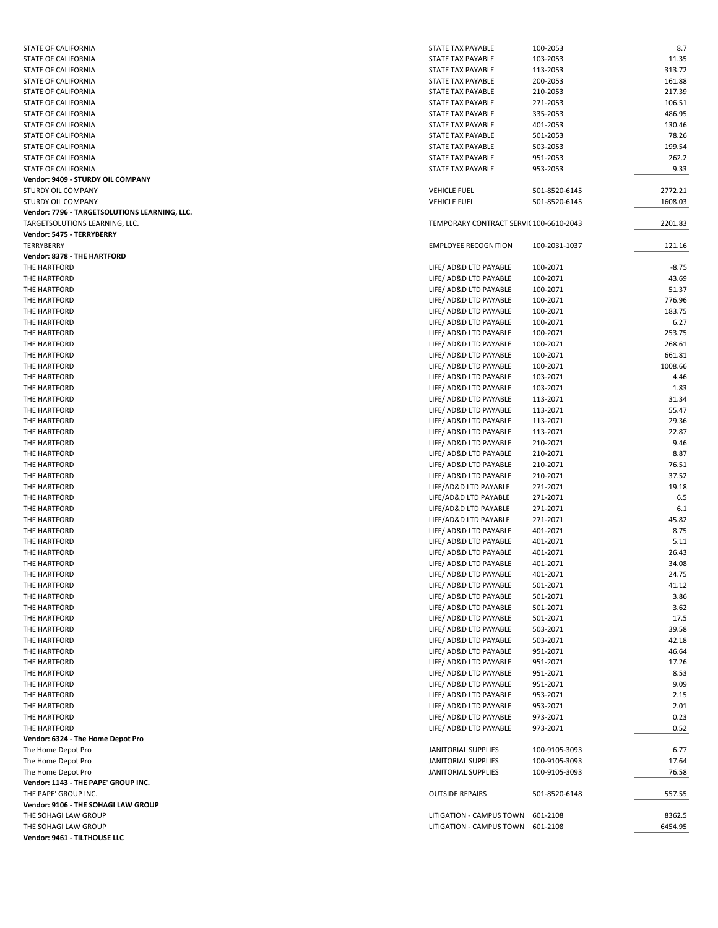| <b>STATE OF CALIFORNIA</b>                    | <b>STATE TAX PAYABLE</b>                | 100-2053      | 8.7     |
|-----------------------------------------------|-----------------------------------------|---------------|---------|
| STATE OF CALIFORNIA                           | STATE TAX PAYABLE                       | 103-2053      | 11.35   |
| STATE OF CALIFORNIA                           | STATE TAX PAYABLE                       | 113-2053      | 313.72  |
| STATE OF CALIFORNIA                           | STATE TAX PAYABLE                       | 200-2053      | 161.88  |
| STATE OF CALIFORNIA                           | STATE TAX PAYABLE                       | 210-2053      | 217.39  |
| STATE OF CALIFORNIA                           | STATE TAX PAYABLE                       | 271-2053      | 106.51  |
| STATE OF CALIFORNIA                           | STATE TAX PAYABLE                       | 335-2053      | 486.95  |
| STATE OF CALIFORNIA                           | STATE TAX PAYABLE                       | 401-2053      | 130.46  |
| STATE OF CALIFORNIA                           | STATE TAX PAYABLE                       | 501-2053      | 78.26   |
| STATE OF CALIFORNIA                           | STATE TAX PAYABLE                       | 503-2053      | 199.54  |
| STATE OF CALIFORNIA                           | STATE TAX PAYABLE                       | 951-2053      | 262.2   |
| STATE OF CALIFORNIA                           | STATE TAX PAYABLE                       | 953-2053      | 9.33    |
| Vendor: 9409 - STURDY OIL COMPANY             |                                         |               |         |
| <b>STURDY OIL COMPANY</b>                     | <b>VEHICLE FUEL</b>                     | 501-8520-6145 | 2772.21 |
| STURDY OIL COMPANY                            | <b>VEHICLE FUEL</b>                     | 501-8520-6145 | 1608.03 |
| Vendor: 7796 - TARGETSOLUTIONS LEARNING, LLC. |                                         |               |         |
| TARGETSOLUTIONS LEARNING, LLC.                | TEMPORARY CONTRACT SERVIC 100-6610-2043 |               | 2201.83 |
| Vendor: 5475 - TERRYBERRY                     |                                         |               |         |
| TERRYBERRY                                    | <b>EMPLOYEE RECOGNITION</b>             | 100-2031-1037 | 121.16  |
| Vendor: 8378 - THE HARTFORD                   |                                         |               |         |
| THE HARTFORD                                  | LIFE/ AD&D LTD PAYABLE                  | 100-2071      | $-8.75$ |
| THE HARTFORD                                  | LIFE/ AD&D LTD PAYABLE                  | 100-2071      | 43.69   |
| THE HARTFORD                                  | LIFE/ AD&D LTD PAYABLE                  | 100-2071      | 51.37   |
| THE HARTFORD                                  | LIFE/ AD&D LTD PAYABLE                  | 100-2071      | 776.96  |
| THE HARTFORD                                  | LIFE/ AD&D LTD PAYABLE                  | 100-2071      | 183.75  |
| THE HARTFORD                                  | LIFE/ AD&D LTD PAYABLE                  | 100-2071      | 6.27    |
| THE HARTFORD                                  | LIFE/ AD&D LTD PAYABLE                  | 100-2071      | 253.75  |
| THE HARTFORD                                  | LIFE/ AD&D LTD PAYABLE                  | 100-2071      | 268.61  |
| THE HARTFORD                                  | LIFE/ AD&D LTD PAYABLE                  | 100-2071      | 661.81  |
| THE HARTFORD                                  | LIFE/ AD&D LTD PAYABLE                  | 100-2071      | 1008.66 |
| THE HARTFORD                                  | LIFE/ AD&D LTD PAYABLE                  | 103-2071      | 4.46    |
| THE HARTFORD                                  | LIFE/ AD&D LTD PAYABLE                  | 103-2071      | 1.83    |
| THE HARTFORD                                  | LIFE/ AD&D LTD PAYABLE                  | 113-2071      | 31.34   |
| THE HARTFORD                                  | LIFE/ AD&D LTD PAYABLE                  | 113-2071      | 55.47   |
| THE HARTFORD                                  | LIFE/ AD&D LTD PAYABLE                  | 113-2071      | 29.36   |
| THE HARTFORD                                  | LIFE/ AD&D LTD PAYABLE                  | 113-2071      | 22.87   |
| THE HARTFORD                                  | LIFE/ AD&D LTD PAYABLE                  | 210-2071      | 9.46    |
| THE HARTFORD                                  | LIFE/ AD&D LTD PAYABLE                  | 210-2071      | 8.87    |
| THE HARTFORD                                  | LIFE/ AD&D LTD PAYABLE                  | 210-2071      | 76.51   |
| THE HARTFORD                                  | LIFE/ AD&D LTD PAYABLE                  | 210-2071      | 37.52   |
| THE HARTFORD                                  | LIFE/AD&D LTD PAYABLE                   | 271-2071      | 19.18   |
| THE HARTFORD                                  | LIFE/AD&D LTD PAYABLE                   | 271-2071      | 6.5     |
| THE HARTFORD                                  | LIFE/AD&D LTD PAYABLE                   | 271-2071      | 6.1     |
| THE HARTFORD                                  | LIFE/AD&D LTD PAYABLE                   | 271-2071      | 45.82   |
| THE HARTFORD                                  | LIFE/ AD&D LTD PAYABLE                  | 401-2071      | 8.75    |
| THE HARTFORD                                  | LIFE/ AD&D LTD PAYABLE                  | 401-2071      | 5.11    |
| THE HARTFORD                                  | LIFE/ AD&D LTD PAYABLE                  | 401-2071      | 26.43   |
| THE HARTFORD                                  | LIFE/ AD&D LTD PAYABLE                  | 401-2071      | 34.08   |
| THE HARTFORD                                  | LIFE/ AD&D LTD PAYABLE                  | 401-2071      | 24.75   |
| THE HARTFORD                                  | LIFE/ AD&D LTD PAYABLE                  | 501-2071      | 41.12   |
| THE HARTFORD                                  | LIFE/ AD&D LTD PAYABLE                  | 501-2071      | 3.86    |
| THE HARTFORD                                  | LIFE/ AD&D LTD PAYABLE                  | 501-2071      | 3.62    |
| THE HARTFORD                                  | LIFE/ AD&D LTD PAYABLE                  | 501-2071      | 17.5    |
| THE HARTFORD                                  | LIFE/ AD&D LTD PAYABLE                  | 503-2071      | 39.58   |
| THE HARTFORD                                  | LIFE/ AD&D LTD PAYABLE                  | 503-2071      | 42.18   |
| THE HARTFORD                                  | LIFE/ AD&D LTD PAYABLE                  | 951-2071      | 46.64   |
| THE HARTFORD                                  | LIFE/ AD&D LTD PAYABLE                  | 951-2071      | 17.26   |
| THE HARTFORD                                  | LIFE/ AD&D LTD PAYABLE                  | 951-2071      | 8.53    |
| THE HARTFORD                                  | LIFE/ AD&D LTD PAYABLE                  | 951-2071      | 9.09    |
| THE HARTFORD                                  | LIFE/ AD&D LTD PAYABLE                  | 953-2071      | 2.15    |
| THE HARTFORD                                  | LIFE/ AD&D LTD PAYABLE                  | 953-2071      | 2.01    |
| THE HARTFORD                                  | LIFE/ AD&D LTD PAYABLE                  | 973-2071      | 0.23    |
| THE HARTFORD                                  | LIFE/ AD&D LTD PAYABLE                  | 973-2071      | 0.52    |
| Vendor: 6324 - The Home Depot Pro             |                                         |               |         |
| The Home Depot Pro                            | JANITORIAL SUPPLIES                     | 100-9105-3093 | 6.77    |
| The Home Depot Pro                            | JANITORIAL SUPPLIES                     | 100-9105-3093 | 17.64   |
| The Home Depot Pro                            | JANITORIAL SUPPLIES                     | 100-9105-3093 | 76.58   |
| Vendor: 1143 - THE PAPE' GROUP INC.           |                                         |               |         |
| THE PAPE' GROUP INC.                          | <b>OUTSIDE REPAIRS</b>                  | 501-8520-6148 | 557.55  |
| Vendor: 9106 - THE SOHAGI LAW GROUP           |                                         |               |         |
| THE SOHAGI LAW GROUP                          | LITIGATION - CAMPUS TOWN                | 601-2108      | 8362.5  |
| THE SOHAGI LAW GROUP                          | LITIGATION - CAMPUS TOWN 601-2108       |               | 6454.95 |
| Vendor: 9461 - TILTHOUSE LLC                  |                                         |               |         |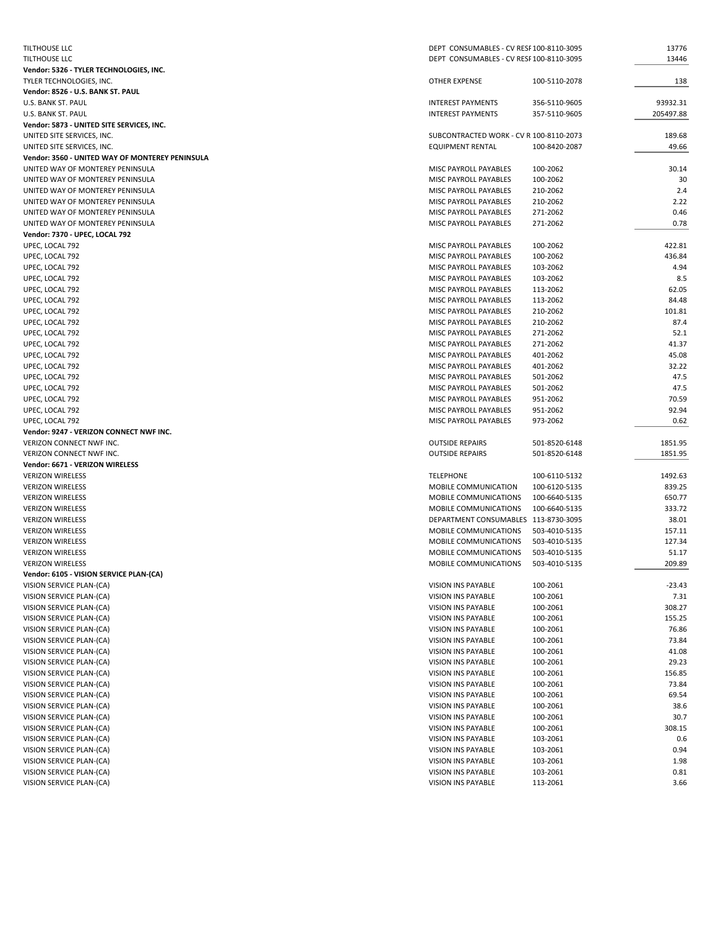| <b>TILTHOUSE LLC</b>                                 | DEPT CONSUMABLES - CV RESF 100-8110-3095 |                      | 13776        |
|------------------------------------------------------|------------------------------------------|----------------------|--------------|
| TILTHOUSE LLC                                        | DEPT CONSUMABLES - CV RESF 100-8110-3095 |                      | 13446        |
| Vendor: 5326 - TYLER TECHNOLOGIES, INC.              |                                          |                      |              |
| TYLER TECHNOLOGIES, INC.                             | <b>OTHER EXPENSE</b>                     | 100-5110-2078        | 138          |
| Vendor: 8526 - U.S. BANK ST. PAUL                    |                                          |                      |              |
| <b>U.S. BANK ST. PAUL</b>                            | <b>INTEREST PAYMENTS</b>                 | 356-5110-9605        | 93932.31     |
| U.S. BANK ST. PAUL                                   | <b>INTEREST PAYMENTS</b>                 | 357-5110-9605        | 205497.88    |
| Vendor: 5873 - UNITED SITE SERVICES, INC.            |                                          |                      |              |
| UNITED SITE SERVICES, INC.                           | SUBCONTRACTED WORK - CV R 100-8110-2073  |                      | 189.68       |
| UNITED SITE SERVICES, INC.                           | <b>EQUIPMENT RENTAL</b>                  | 100-8420-2087        | 49.66        |
| Vendor: 3560 - UNITED WAY OF MONTEREY PENINSULA      |                                          |                      |              |
| UNITED WAY OF MONTEREY PENINSULA                     | MISC PAYROLL PAYABLES                    | 100-2062             | 30.14        |
| UNITED WAY OF MONTEREY PENINSULA                     | MISC PAYROLL PAYABLES                    | 100-2062             | 30           |
| UNITED WAY OF MONTEREY PENINSULA                     | MISC PAYROLL PAYABLES                    | 210-2062             | 2.4          |
| UNITED WAY OF MONTEREY PENINSULA                     | MISC PAYROLL PAYABLES                    | 210-2062             | 2.22         |
| UNITED WAY OF MONTEREY PENINSULA                     | MISC PAYROLL PAYABLES                    | 271-2062             | 0.46         |
| UNITED WAY OF MONTEREY PENINSULA                     | MISC PAYROLL PAYABLES                    | 271-2062             | 0.78         |
| Vendor: 7370 - UPEC, LOCAL 792                       |                                          |                      |              |
| UPEC, LOCAL 792                                      | MISC PAYROLL PAYABLES                    | 100-2062             | 422.81       |
| UPEC, LOCAL 792                                      | MISC PAYROLL PAYABLES                    | 100-2062             | 436.84       |
| UPEC, LOCAL 792                                      | MISC PAYROLL PAYABLES                    | 103-2062             | 4.94         |
| UPEC, LOCAL 792                                      | MISC PAYROLL PAYABLES                    | 103-2062             | 8.5          |
| UPEC, LOCAL 792                                      | MISC PAYROLL PAYABLES                    | 113-2062             | 62.05        |
| UPEC, LOCAL 792                                      | <b>MISC PAYROLL PAYABLES</b>             | 113-2062             | 84.48        |
| UPEC, LOCAL 792                                      | MISC PAYROLL PAYABLES                    | 210-2062             | 101.81       |
| UPEC, LOCAL 792                                      | MISC PAYROLL PAYABLES                    | 210-2062             | 87.4         |
| UPEC, LOCAL 792                                      | MISC PAYROLL PAYABLES                    | 271-2062             | 52.1         |
| UPEC, LOCAL 792                                      | MISC PAYROLL PAYABLES                    | 271-2062             | 41.37        |
| UPEC, LOCAL 792                                      | MISC PAYROLL PAYABLES                    | 401-2062             | 45.08        |
| UPEC, LOCAL 792                                      | MISC PAYROLL PAYABLES                    | 401-2062             | 32.22        |
| UPEC, LOCAL 792                                      | MISC PAYROLL PAYABLES                    | 501-2062             | 47.5         |
| UPEC, LOCAL 792                                      | MISC PAYROLL PAYABLES                    | 501-2062             | 47.5         |
| UPEC, LOCAL 792                                      | MISC PAYROLL PAYABLES                    | 951-2062             | 70.59        |
|                                                      |                                          |                      | 92.94        |
|                                                      |                                          |                      |              |
| UPEC, LOCAL 792                                      | MISC PAYROLL PAYABLES                    | 951-2062             |              |
| UPEC, LOCAL 792                                      | MISC PAYROLL PAYABLES                    | 973-2062             | 0.62         |
| Vendor: 9247 - VERIZON CONNECT NWF INC.              |                                          |                      |              |
| VERIZON CONNECT NWF INC.                             | <b>OUTSIDE REPAIRS</b>                   | 501-8520-6148        | 1851.95      |
| VERIZON CONNECT NWF INC.                             | <b>OUTSIDE REPAIRS</b>                   | 501-8520-6148        | 1851.95      |
| Vendor: 6671 - VERIZON WIRELESS                      |                                          |                      |              |
| <b>VERIZON WIRELESS</b>                              | <b>TELEPHONE</b>                         | 100-6110-5132        | 1492.63      |
| <b>VERIZON WIRELESS</b>                              | MOBILE COMMUNICATION                     | 100-6120-5135        | 839.25       |
| <b>VERIZON WIRELESS</b>                              | MOBILE COMMUNICATIONS                    | 100-6640-5135        | 650.77       |
| <b>VERIZON WIRELESS</b>                              | MOBILE COMMUNICATIONS                    | 100-6640-5135        | 333.72       |
| <b>VERIZON WIRELESS</b>                              | DEPARTMENT CONSUMABLES 113-8730-3095     |                      | 38.01        |
| <b>VERIZON WIRELESS</b>                              | MOBILE COMMUNICATIONS                    | 503-4010-5135        | 157.11       |
| <b>VERIZON WIRELESS</b>                              | MOBILE COMMUNICATIONS                    | 503-4010-5135        | 127.34       |
| <b>VERIZON WIRELESS</b>                              | MOBILE COMMUNICATIONS                    | 503-4010-5135        | 51.17        |
| <b>VERIZON WIRELESS</b>                              | MOBILE COMMUNICATIONS                    | 503-4010-5135        | 209.89       |
| Vendor: 6105 - VISION SERVICE PLAN-(CA)              |                                          |                      |              |
| VISION SERVICE PLAN-(CA)                             | VISION INS PAYABLE                       | 100-2061             | $-23.43$     |
| VISION SERVICE PLAN-(CA)                             | VISION INS PAYABLE                       | 100-2061             | 7.31         |
| VISION SERVICE PLAN-(CA)                             | VISION INS PAYABLE                       | 100-2061             | 308.27       |
| VISION SERVICE PLAN-(CA)                             | VISION INS PAYABLE                       | 100-2061             | 155.25       |
| VISION SERVICE PLAN-(CA)                             | VISION INS PAYABLE                       | 100-2061             | 76.86        |
| VISION SERVICE PLAN-(CA)                             | VISION INS PAYABLE                       | 100-2061             | 73.84        |
| VISION SERVICE PLAN-(CA)                             | VISION INS PAYABLE                       | 100-2061             | 41.08        |
| VISION SERVICE PLAN-(CA)                             | VISION INS PAYABLE                       | 100-2061             | 29.23        |
| VISION SERVICE PLAN-(CA)                             | VISION INS PAYABLE                       | 100-2061             | 156.85       |
| VISION SERVICE PLAN-(CA)                             | VISION INS PAYABLE                       | 100-2061             | 73.84        |
| VISION SERVICE PLAN-(CA)                             | VISION INS PAYABLE                       | 100-2061             | 69.54        |
| VISION SERVICE PLAN-(CA)                             | VISION INS PAYABLE                       | 100-2061             | 38.6         |
| VISION SERVICE PLAN-(CA)                             | VISION INS PAYABLE                       | 100-2061             | 30.7         |
| VISION SERVICE PLAN-(CA)                             | VISION INS PAYABLE                       | 100-2061             | 308.15       |
| VISION SERVICE PLAN-(CA)                             | VISION INS PAYABLE                       | 103-2061             | 0.6          |
| VISION SERVICE PLAN-(CA)                             | VISION INS PAYABLE                       | 103-2061             | 0.94         |
| VISION SERVICE PLAN-(CA)                             | VISION INS PAYABLE                       | 103-2061             | 1.98         |
| VISION SERVICE PLAN-(CA)<br>VISION SERVICE PLAN-(CA) | VISION INS PAYABLE<br>VISION INS PAYABLE | 103-2061<br>113-2061 | 0.81<br>3.66 |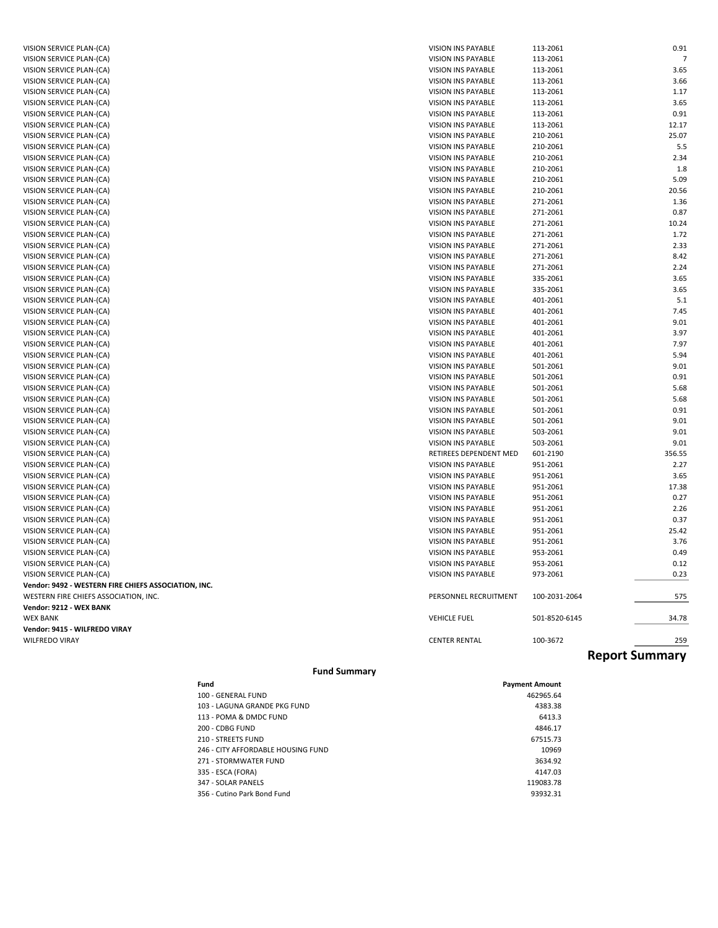| VISION SERVICE PLAN-(CA)                             | VISION INS PAYABLE     | 113-2061      | 0.91                  |
|------------------------------------------------------|------------------------|---------------|-----------------------|
| VISION SERVICE PLAN-(CA)                             | VISION INS PAYABLE     | 113-2061      | $\overline{7}$        |
| VISION SERVICE PLAN-(CA)                             | VISION INS PAYABLE     | 113-2061      | 3.65                  |
| VISION SERVICE PLAN-(CA)                             | VISION INS PAYABLE     | 113-2061      | 3.66                  |
| VISION SERVICE PLAN-(CA)                             | VISION INS PAYABLE     | 113-2061      | 1.17                  |
| VISION SERVICE PLAN-(CA)                             | VISION INS PAYABLE     | 113-2061      | 3.65                  |
| VISION SERVICE PLAN-(CA)                             | VISION INS PAYABLE     | 113-2061      | 0.91                  |
| VISION SERVICE PLAN-(CA)                             | VISION INS PAYABLE     | 113-2061      | 12.17                 |
| VISION SERVICE PLAN-(CA)                             | VISION INS PAYABLE     | 210-2061      | 25.07                 |
| VISION SERVICE PLAN-(CA)                             | VISION INS PAYABLE     | 210-2061      | 5.5                   |
| VISION SERVICE PLAN-(CA)                             | VISION INS PAYABLE     | 210-2061      | 2.34                  |
| VISION SERVICE PLAN-(CA)                             | VISION INS PAYABLE     | 210-2061      | 1.8                   |
| VISION SERVICE PLAN-(CA)                             | VISION INS PAYABLE     | 210-2061      | 5.09                  |
| VISION SERVICE PLAN-(CA)                             | VISION INS PAYABLE     | 210-2061      | 20.56                 |
| VISION SERVICE PLAN-(CA)                             | VISION INS PAYABLE     | 271-2061      | 1.36                  |
| VISION SERVICE PLAN-(CA)                             | VISION INS PAYABLE     | 271-2061      | 0.87                  |
| VISION SERVICE PLAN-(CA)                             | VISION INS PAYABLE     | 271-2061      | 10.24                 |
| VISION SERVICE PLAN-(CA)                             | VISION INS PAYABLE     | 271-2061      | 1.72                  |
| VISION SERVICE PLAN-(CA)                             | VISION INS PAYABLE     | 271-2061      | 2.33                  |
| VISION SERVICE PLAN-(CA)                             | VISION INS PAYABLE     | 271-2061      | 8.42                  |
| VISION SERVICE PLAN-(CA)                             | VISION INS PAYABLE     | 271-2061      | 2.24                  |
| VISION SERVICE PLAN-(CA)                             | VISION INS PAYABLE     | 335-2061      | 3.65                  |
| VISION SERVICE PLAN-(CA)                             | VISION INS PAYABLE     | 335-2061      | 3.65                  |
| VISION SERVICE PLAN-(CA)                             | VISION INS PAYABLE     | 401-2061      | 5.1                   |
| VISION SERVICE PLAN-(CA)                             | VISION INS PAYABLE     | 401-2061      | 7.45                  |
| VISION SERVICE PLAN-(CA)                             | VISION INS PAYABLE     | 401-2061      | 9.01                  |
| VISION SERVICE PLAN-(CA)                             | VISION INS PAYABLE     | 401-2061      | 3.97                  |
| VISION SERVICE PLAN-(CA)                             | VISION INS PAYABLE     | 401-2061      | 7.97                  |
| VISION SERVICE PLAN-(CA)                             | VISION INS PAYABLE     | 401-2061      | 5.94                  |
| VISION SERVICE PLAN-(CA)                             | VISION INS PAYABLE     | 501-2061      | 9.01                  |
| VISION SERVICE PLAN-(CA)                             | VISION INS PAYABLE     | 501-2061      | 0.91                  |
| VISION SERVICE PLAN-(CA)                             | VISION INS PAYABLE     | 501-2061      | 5.68                  |
| VISION SERVICE PLAN-(CA)                             | VISION INS PAYABLE     | 501-2061      | 5.68                  |
| VISION SERVICE PLAN-(CA)                             | VISION INS PAYABLE     | 501-2061      | 0.91                  |
| VISION SERVICE PLAN-(CA)                             | VISION INS PAYABLE     | 501-2061      | 9.01                  |
| VISION SERVICE PLAN-(CA)                             | VISION INS PAYABLE     | 503-2061      | 9.01                  |
| VISION SERVICE PLAN-(CA)                             | VISION INS PAYABLE     | 503-2061      | 9.01                  |
| VISION SERVICE PLAN-(CA)                             | RETIREES DEPENDENT MED | 601-2190      | 356.55                |
| VISION SERVICE PLAN-(CA)                             | VISION INS PAYABLE     | 951-2061      | 2.27                  |
| VISION SERVICE PLAN-(CA)                             | VISION INS PAYABLE     | 951-2061      | 3.65                  |
| VISION SERVICE PLAN-(CA)                             | VISION INS PAYABLE     | 951-2061      | 17.38                 |
| VISION SERVICE PLAN-(CA)                             | VISION INS PAYABLE     | 951-2061      | 0.27                  |
| VISION SERVICE PLAN-(CA)                             | VISION INS PAYABLE     | 951-2061      | 2.26                  |
| VISION SERVICE PLAN-(CA)                             | VISION INS PAYABLE     | 951-2061      | 0.37                  |
| VISION SERVICE PLAN-(CA)                             | VISION INS PAYABLE     | 951-2061      | 25.42                 |
| VISION SERVICE PLAN-(CA)                             | VISION INS PAYABLE     | 951-2061      | 3.76                  |
| VISION SERVICE PLAN-(CA)                             | VISION INS PAYABLE     | 953-2061      | 0.49                  |
| VISION SERVICE PLAN-(CA)                             | VISION INS PAYABLE     | 953-2061      | 0.12                  |
| VISION SERVICE PLAN-(CA)                             | VISION INS PAYABLE     | 973-2061      | 0.23                  |
| Vendor: 9492 - WESTERN FIRE CHIEFS ASSOCIATION, INC. |                        |               |                       |
| WESTERN FIRE CHIEFS ASSOCIATION, INC.                | PERSONNEL RECRUITMENT  | 100-2031-2064 | 575                   |
| Vendor: 9212 - WEX BANK                              |                        |               |                       |
| <b>WEX BANK</b>                                      | <b>VEHICLE FUEL</b>    | 501-8520-6145 | 34.78                 |
| Vendor: 9415 - WILFREDO VIRAY                        |                        |               |                       |
| <b>WILFREDO VIRAY</b>                                | <b>CENTER RENTAL</b>   | 100-3672      | 259                   |
|                                                      |                        |               | <b>Report Summary</b> |

### **Fund Summary**

| Fund                               | <b>Payment Amount</b> |
|------------------------------------|-----------------------|
| 100 - GENERAL FUND                 | 462965.64             |
| 103 - LAGUNA GRANDE PKG FUND       | 4383.38               |
| 113 - POMA & DMDC FUND             | 6413.3                |
| 200 - CDBG FUND                    | 4846.17               |
| 210 - STREETS FUND                 | 67515.73              |
| 246 - CITY AFFORDABLE HOUSING FUND | 10969                 |
| 271 - STORMWATER FUND              | 3634.92               |
| 335 - ESCA (FORA)                  | 4147.03               |
| 347 - SOLAR PANELS                 | 119083.78             |
| 356 - Cutino Park Bond Fund        | 93932.31              |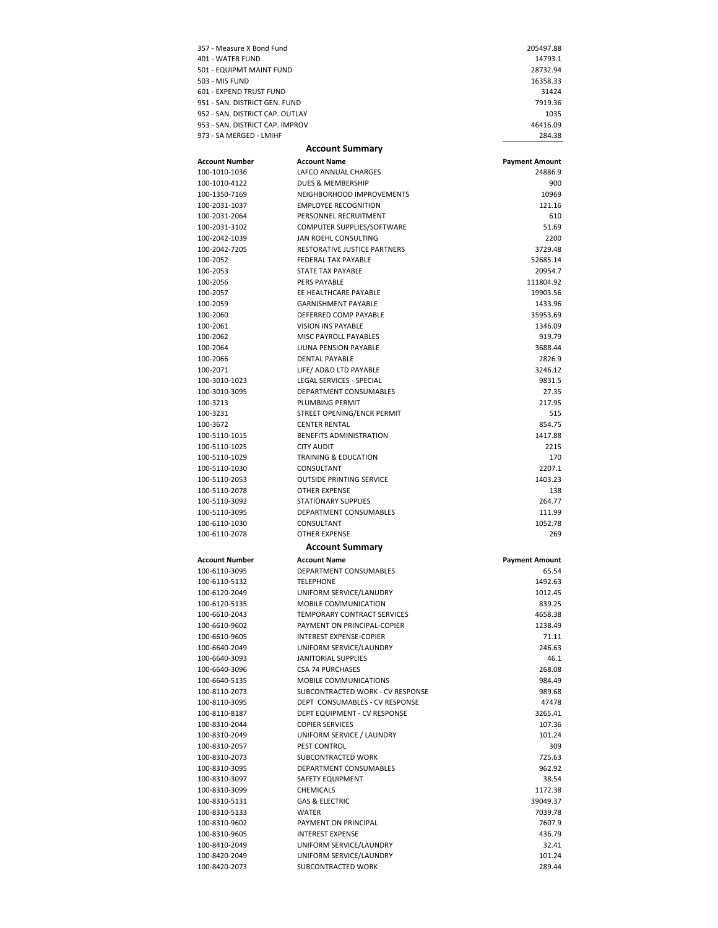| 357 - Measure X Bond Fund                                        |                                                 | 205497.88             |
|------------------------------------------------------------------|-------------------------------------------------|-----------------------|
| 401 - WATER FUND                                                 |                                                 | 14793.1               |
| 501 - EQUIPMT MAINT FUND                                         |                                                 | 28732.94              |
| 503 - MIS FUND                                                   |                                                 | 16358.33              |
| 601 - EXPEND TRUST FUND                                          |                                                 | 31424                 |
| 951 - SAN. DISTRICT GEN. FUND<br>952 - SAN. DISTRICT CAP. OUTLAY |                                                 | 7919.36               |
| 953 - SAN. DISTRICT CAP. IMPROV                                  |                                                 | 1035<br>46416.09      |
| 973 - SA MERGED - LMIHF                                          |                                                 | 284.38                |
|                                                                  |                                                 |                       |
|                                                                  | <b>Account Summary</b>                          |                       |
| <b>Account Number</b>                                            | <b>Account Name</b>                             | <b>Payment Amount</b> |
| 100-1010-1036                                                    | LAFCO ANNUAL CHARGES                            | 24886.9               |
| 100-1010-4122<br>100-1350-7169                                   | DUES & MEMBERSHIP<br>NEIGHBORHOOD IMPROVEMENTS  | 900<br>10969          |
| 100-2031-1037                                                    | <b>EMPLOYEE RECOGNITION</b>                     | 121.16                |
| 100-2031-2064                                                    | PERSONNEL RECRUITMENT                           | 610                   |
| 100-2031-3102                                                    | COMPUTER SUPPLIES/SOFTWARE                      | 51.69                 |
| 100-2042-1039                                                    | JAN ROEHL CONSULTING                            | 2200                  |
| 100-2042-7205                                                    | RESTORATIVE JUSTICE PARTNERS                    | 3729.48               |
| 100-2052                                                         | FEDERAL TAX PAYABLE                             | 52685.14              |
| 100-2053                                                         | STATE TAX PAYABLE                               | 20954.7               |
| 100-2056                                                         | <b>PERS PAYABLE</b>                             | 111804.92             |
| 100-2057                                                         | EE HEALTHCARE PAYABLE                           | 19903.56              |
| 100-2059                                                         | <b>GARNISHMENT PAYABLE</b>                      | 1433.96               |
| 100-2060                                                         | DEFERRED COMP PAYABLE                           | 35953.69              |
| 100-2061                                                         | <b>VISION INS PAYABLE</b>                       | 1346.09               |
| 100-2062                                                         | MISC PAYROLL PAYABLES                           | 919.79                |
| 100-2064                                                         | LIUNA PENSION PAYABLE                           | 3688.44               |
| 100-2066                                                         | <b>DENTAL PAYABLE</b>                           | 2826.9                |
| 100-2071                                                         | LIFE/ AD&D LTD PAYABLE                          | 3246.12               |
| 100-3010-1023                                                    | LEGAL SERVICES - SPECIAL                        | 9831.5                |
| 100-3010-3095                                                    | DEPARTMENT CONSUMABLES                          | 27.35                 |
| 100-3213                                                         | PLUMBING PERMIT                                 | 217.95                |
| 100-3231                                                         | STREET OPENING/ENCR PERMIT                      | 515                   |
| 100-3672                                                         | <b>CENTER RENTAL</b>                            | 854.75                |
| 100-5110-1015<br>100-5110-1025                                   | BENEFITS ADMINISTRATION<br><b>CITY AUDIT</b>    | 1417.88<br>2215       |
| 100-5110-1029                                                    | TRAINING & EDUCATION                            | 170                   |
| 100-5110-1030                                                    | CONSULTANT                                      | 2207.1                |
| 100-5110-2053                                                    | <b>OUTSIDE PRINTING SERVICE</b>                 | 1403.23               |
| 100-5110-2078                                                    | OTHER EXPENSE                                   | 138                   |
| 100-5110-3092                                                    | <b>STATIONARY SUPPLIES</b>                      | 264.77                |
| 100-5110-3095                                                    | DEPARTMENT CONSUMABLES                          | 111.99                |
| 100-6110-1030                                                    | CONSULTANT                                      | 1052.78               |
| 100-6110-2078                                                    | OTHER EXPENSE                                   | 269                   |
|                                                                  | <b>Account Summary</b>                          |                       |
| Account Number                                                   | <b>Account Name</b>                             | <b>Payment Amount</b> |
| 100-6110-3095                                                    | DEPARTMENT CONSUMABLES                          | 65.54                 |
| 100-6110-5132                                                    | <b>TELEPHONE</b>                                | 1492.63               |
| 100-6120-2049                                                    | UNIFORM SERVICE/LANUDRY                         | 1012.45               |
| 100-6120-5135                                                    | MOBILE COMMUNICATION                            | 839.25                |
| 100-6610-2043                                                    | TEMPORARY CONTRACT SERVICES                     | 4658.38               |
| 100-6610-9602                                                    | PAYMENT ON PRINCIPAL-COPIER                     | 1238.49               |
| 100-6610-9605                                                    | INTEREST EXPENSE-COPIER                         | 71.11                 |
| 100-6640-2049                                                    | UNIFORM SERVICE/LAUNDRY                         | 246.63                |
| 100-6640-3093                                                    | <b>JANITORIAL SUPPLIES</b>                      | 46.1                  |
|                                                                  |                                                 |                       |
| 100-6640-3096                                                    | <b>CSA 74 PURCHASES</b>                         | 268.08                |
| 100-6640-5135                                                    | MOBILE COMMUNICATIONS                           | 984.49                |
| 100-8110-2073                                                    | SUBCONTRACTED WORK - CV RESPONSE                | 989.68                |
| 100-8110-3095                                                    | DEPT CONSUMABLES - CV RESPONSE                  | 47478                 |
| 100-8110-8187                                                    | DEPT EQUIPMENT - CV RESPONSE                    | 3265.41               |
| 100-8310-2044                                                    | <b>COPIER SERVICES</b>                          | 107.36                |
| 100-8310-2049                                                    | UNIFORM SERVICE / LAUNDRY                       | 101.24                |
| 100-8310-2057                                                    | PEST CONTROL                                    | 309                   |
| 100-8310-2073                                                    | SUBCONTRACTED WORK                              | 725.63                |
| 100-8310-3095                                                    | DEPARTMENT CONSUMABLES                          | 962.92                |
| 100-8310-3097                                                    | SAFETY EQUIPMENT                                | 38.54                 |
|                                                                  | CHEMICALS                                       | 1172.38               |
|                                                                  | <b>GAS &amp; ELECTRIC</b>                       | 39049.37              |
|                                                                  | WATER                                           | 7039.78               |
| 100-8310-3099<br>100-8310-5131<br>100-8310-5133<br>100-8310-9602 | PAYMENT ON PRINCIPAL<br><b>INTEREST EXPENSE</b> | 7607.9                |
| 100-8310-9605<br>100-8410-2049                                   | UNIFORM SERVICE/LAUNDRY                         | 436.79<br>32.41       |
| 100-8420-2049                                                    | UNIFORM SERVICE/LAUNDRY                         | 101.24                |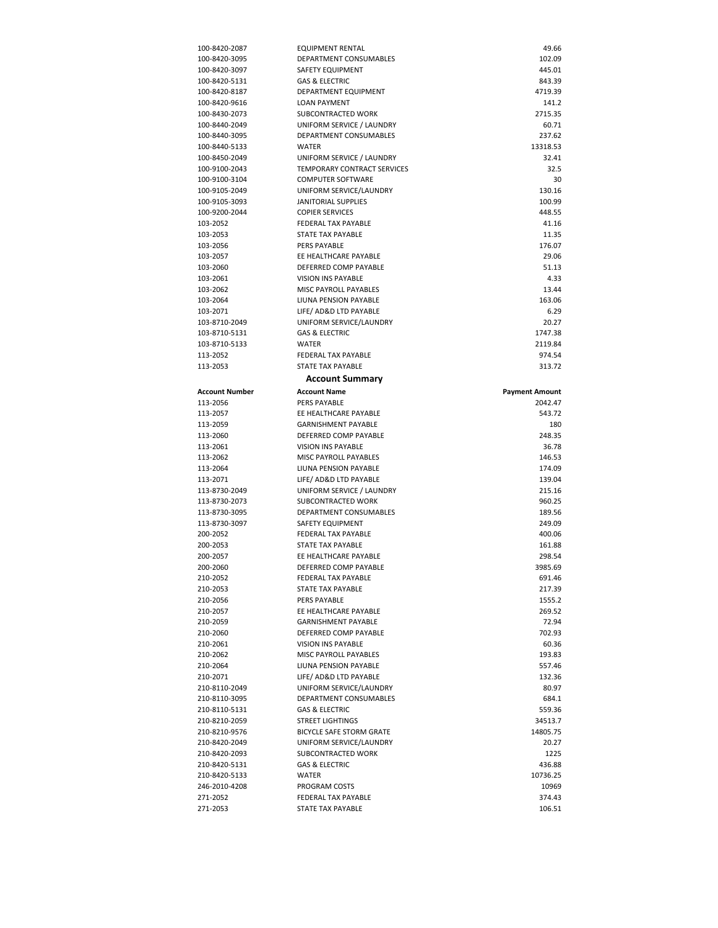| 100-8420-2087                                                                                                                                                                                        | <b>EQUIPMENT RENTAL</b>            | 49.66                 |
|------------------------------------------------------------------------------------------------------------------------------------------------------------------------------------------------------|------------------------------------|-----------------------|
| 100-8420-3095                                                                                                                                                                                        | DEPARTMENT CONSUMABLES             | 102.09                |
| 100-8420-3097                                                                                                                                                                                        | SAFETY EQUIPMENT                   | 445.01                |
| 100-8420-5131                                                                                                                                                                                        | <b>GAS &amp; ELECTRIC</b>          | 843.39                |
| 100-8420-8187                                                                                                                                                                                        | DEPARTMENT EQUIPMENT               | 4719.39               |
| 100-8420-9616                                                                                                                                                                                        | <b>LOAN PAYMENT</b>                | 141.2                 |
| 100-8430-2073                                                                                                                                                                                        | SUBCONTRACTED WORK                 | 2715.35               |
| 100-8440-2049                                                                                                                                                                                        | UNIFORM SERVICE / LAUNDRY          | 60.71                 |
| 100-8440-3095                                                                                                                                                                                        | DEPARTMENT CONSUMABLES             | 237.62                |
| 100-8440-5133                                                                                                                                                                                        | WATER                              | 13318.53              |
| 100-8450-2049                                                                                                                                                                                        | UNIFORM SERVICE / LAUNDRY          | 32.41                 |
| 100-9100-2043                                                                                                                                                                                        | <b>TEMPORARY CONTRACT SERVICES</b> | 32.5                  |
| 100-9100-3104                                                                                                                                                                                        | <b>COMPUTER SOFTWARE</b>           | 30                    |
| 100-9105-2049                                                                                                                                                                                        | UNIFORM SERVICE/LAUNDRY            | 130.16                |
| 100-9105-3093                                                                                                                                                                                        | <b>JANITORIAL SUPPLIES</b>         | 100.99                |
| 100-9200-2044                                                                                                                                                                                        | <b>COPIER SERVICES</b>             | 448.55                |
| 103-2052                                                                                                                                                                                             | FEDERAL TAX PAYABLE                | 41.16                 |
| 103-2053                                                                                                                                                                                             | STATE TAX PAYABLE                  | 11.35                 |
| 103-2056                                                                                                                                                                                             | <b>PERS PAYABLE</b>                | 176.07                |
| 103-2057                                                                                                                                                                                             | EE HEALTHCARE PAYABLE              | 29.06                 |
| 103-2060                                                                                                                                                                                             | DEFERRED COMP PAYABLE              | 51.13                 |
| 103-2061                                                                                                                                                                                             | <b>VISION INS PAYABLE</b>          | 4.33                  |
| 103-2062                                                                                                                                                                                             | <b>MISC PAYROLL PAYABLES</b>       | 13.44                 |
| 103-2064                                                                                                                                                                                             | LIUNA PENSION PAYABLE              | 163.06                |
| 103-2071                                                                                                                                                                                             | LIFE/ AD&D LTD PAYABLE             | 6.29                  |
| 103-8710-2049                                                                                                                                                                                        | UNIFORM SERVICE/LAUNDRY            | 20.27                 |
| 103-8710-5131                                                                                                                                                                                        | <b>GAS &amp; ELECTRIC</b>          | 1747.38               |
| 103-8710-5133                                                                                                                                                                                        | <b>WATER</b>                       | 2119.84               |
| 113-2052                                                                                                                                                                                             | FEDERAL TAX PAYABLE                | 974.54                |
| 113-2053                                                                                                                                                                                             | STATE TAX PAYABLE                  | 313.72                |
|                                                                                                                                                                                                      |                                    |                       |
|                                                                                                                                                                                                      | <b>Account Summary</b>             |                       |
| Account Number                                                                                                                                                                                       | <b>Account Name</b>                | <b>Payment Amount</b> |
|                                                                                                                                                                                                      |                                    |                       |
| 113-2056                                                                                                                                                                                             | PERS PAYABLE                       | 2042.47               |
| 113-2057                                                                                                                                                                                             | EE HEALTHCARE PAYABLE              | 543.72                |
|                                                                                                                                                                                                      | <b>GARNISHMENT PAYABLE</b>         | 180                   |
|                                                                                                                                                                                                      | DEFERRED COMP PAYABLE              | 248.35                |
|                                                                                                                                                                                                      | <b>VISION INS PAYABLE</b>          | 36.78                 |
| 113-2059<br>113-2060<br>113-2061<br>113-2062                                                                                                                                                         | MISC PAYROLL PAYABLES              | 146.53                |
|                                                                                                                                                                                                      | LIUNA PENSION PAYABLE              | 174.09                |
|                                                                                                                                                                                                      | LIFE/ AD&D LTD PAYABLE             | 139.04                |
|                                                                                                                                                                                                      | UNIFORM SERVICE / LAUNDRY          | 215.16                |
|                                                                                                                                                                                                      | SUBCONTRACTED WORK                 | 960.25                |
|                                                                                                                                                                                                      | DEPARTMENT CONSUMABLES             | 189.56                |
|                                                                                                                                                                                                      | SAFETY EQUIPMENT                   | 249.09                |
|                                                                                                                                                                                                      | FEDERAL TAX PAYABLE                | 400.06                |
|                                                                                                                                                                                                      | <b>STATE TAX PAYABLE</b>           | 161.88                |
|                                                                                                                                                                                                      | EE HEALTHCARE PAYABLE              | 298.54                |
|                                                                                                                                                                                                      | DEFERRED COMP PAYABLE              | 3985.69               |
|                                                                                                                                                                                                      | FEDERAL TAX PAYABLE                | 691.46                |
|                                                                                                                                                                                                      | STATE TAX PAYABLE                  | 217.39                |
|                                                                                                                                                                                                      | PERS PAYABLE                       | 1555.2                |
|                                                                                                                                                                                                      | EE HEALTHCARE PAYABLE              | 269.52                |
| 113-2064<br>113-2071<br>113-8730-2049<br>113-8730-2073<br>113-8730-3095<br>113-8730-3097<br>200-2052<br>200-2053<br>200-2057<br>200-2060<br>210-2052<br>210-2053<br>210-2056<br>210-2057<br>210-2059 | <b>GARNISHMENT PAYABLE</b>         | 72.94                 |
| 210-2060                                                                                                                                                                                             | DEFERRED COMP PAYABLE              | 702.93                |
| 210-2061                                                                                                                                                                                             | <b>VISION INS PAYABLE</b>          | 60.36                 |
| 210-2062                                                                                                                                                                                             | <b>MISC PAYROLL PAYABLES</b>       | 193.83                |
| 210-2064                                                                                                                                                                                             | LIUNA PENSION PAYABLE              | 557.46                |
| 210-2071                                                                                                                                                                                             | LIFE/ AD&D LTD PAYABLE             | 132.36                |
| 210-8110-2049                                                                                                                                                                                        | UNIFORM SERVICE/LAUNDRY            | 80.97                 |
| 210-8110-3095                                                                                                                                                                                        | DEPARTMENT CONSUMABLES             | 684.1                 |
| 210-8110-5131                                                                                                                                                                                        | <b>GAS &amp; ELECTRIC</b>          | 559.36                |
| 210-8210-2059                                                                                                                                                                                        | <b>STREET LIGHTINGS</b>            | 34513.7               |
| 210-8210-9576                                                                                                                                                                                        | <b>BICYCLE SAFE STORM GRATE</b>    | 14805.75              |
| 210-8420-2049                                                                                                                                                                                        | UNIFORM SERVICE/LAUNDRY            | 20.27                 |
| 210-8420-2093                                                                                                                                                                                        | SUBCONTRACTED WORK                 | 1225                  |
| 210-8420-5131                                                                                                                                                                                        | <b>GAS &amp; ELECTRIC</b>          | 436.88                |
| 210-8420-5133                                                                                                                                                                                        | WATER                              | 10736.25              |
| 246-2010-4208                                                                                                                                                                                        | <b>PROGRAM COSTS</b>               | 10969                 |
| 271-2052                                                                                                                                                                                             | FEDERAL TAX PAYABLE                | 374.43                |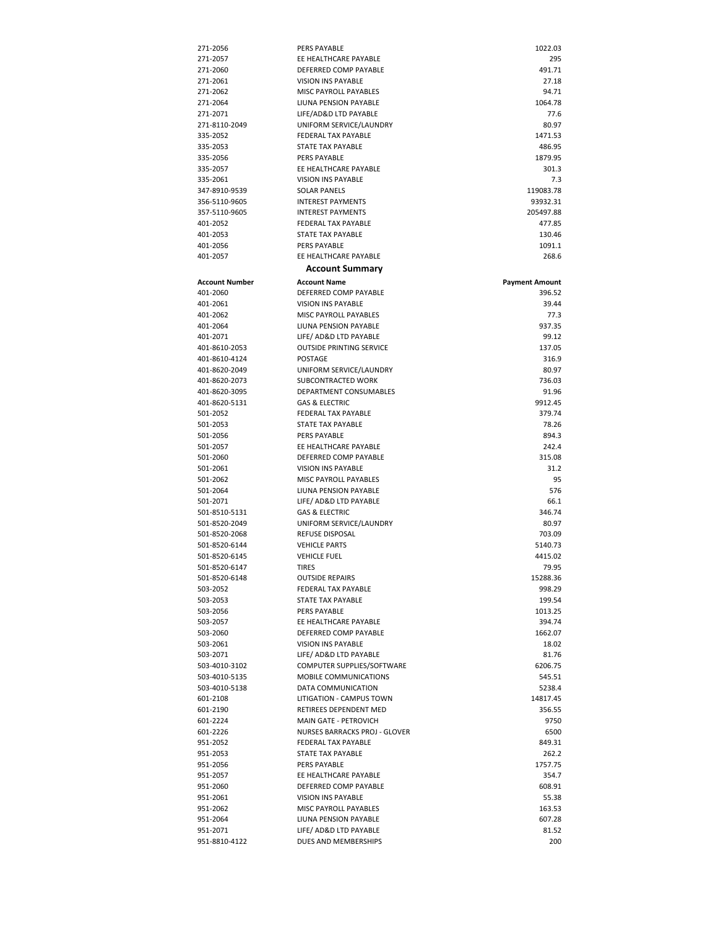| 271-2056                       | PERS PAYABLE                                              | 1022.03               |
|--------------------------------|-----------------------------------------------------------|-----------------------|
| 271-2057                       | EE HEALTHCARE PAYABLE                                     | 295                   |
| 271-2060                       | DEFERRED COMP PAYABLE                                     | 491.71                |
| 271-2061                       | <b>VISION INS PAYABLE</b>                                 | 27.18                 |
| 271-2062                       | MISC PAYROLL PAYABLES                                     | 94.71                 |
| 271-2064                       | LIUNA PENSION PAYABLE                                     | 1064.78               |
| 271-2071                       | LIFE/AD&D LTD PAYABLE                                     | 77.6                  |
| 271-8110-2049                  | UNIFORM SERVICE/LAUNDRY                                   | 80.97                 |
| 335-2052                       | FEDERAL TAX PAYABLE                                       | 1471.53               |
| 335-2053                       | STATE TAX PAYABLE                                         | 486.95                |
| 335-2056                       | PERS PAYABLE                                              | 1879.95               |
| 335-2057                       | EE HEALTHCARE PAYABLE<br><b>VISION INS PAYABLE</b>        | 301.3                 |
| 335-2061                       |                                                           | 7.3<br>119083.78      |
| 347-8910-9539                  | <b>SOLAR PANELS</b><br><b>INTEREST PAYMENTS</b>           | 93932.31              |
| 356-5110-9605<br>357-5110-9605 | <b>INTEREST PAYMENTS</b>                                  | 205497.88             |
| 401-2052                       | FEDERAL TAX PAYABLE                                       | 477.85                |
| 401-2053                       | STATE TAX PAYABLE                                         | 130.46                |
| 401-2056                       | PERS PAYABLE                                              | 1091.1                |
| 401-2057                       | EE HEALTHCARE PAYABLE                                     | 268.6                 |
|                                |                                                           |                       |
|                                | <b>Account Summary</b>                                    |                       |
| Account Number                 | <b>Account Name</b>                                       | <b>Payment Amount</b> |
| 401-2060                       | DEFERRED COMP PAYABLE                                     | 396.52                |
| 401-2061                       | <b>VISION INS PAYABLE</b>                                 | 39.44                 |
| 401-2062                       | MISC PAYROLL PAYABLES                                     | 77.3                  |
| 401-2064                       | LIUNA PENSION PAYABLE                                     | 937.35                |
| 401-2071                       | LIFE/ AD&D LTD PAYABLE<br><b>OUTSIDE PRINTING SERVICE</b> | 99.12<br>137.05       |
| 401-8610-2053<br>401-8610-4124 | POSTAGE                                                   | 316.9                 |
| 401-8620-2049                  | UNIFORM SERVICE/LAUNDRY                                   | 80.97                 |
| 401-8620-2073                  | SUBCONTRACTED WORK                                        | 736.03                |
| 401-8620-3095                  | DEPARTMENT CONSUMABLES                                    | 91.96                 |
| 401-8620-5131                  | <b>GAS &amp; ELECTRIC</b>                                 | 9912.45               |
| 501-2052                       | <b>FEDERAL TAX PAYABLE</b>                                | 379.74                |
| 501-2053                       | STATE TAX PAYABLE                                         | 78.26                 |
| 501-2056                       | PERS PAYABLE                                              | 894.3                 |
| 501-2057                       | EE HEALTHCARE PAYABLE                                     | 242.4                 |
| 501-2060                       | DEFERRED COMP PAYABLE                                     | 315.08                |
| 501-2061                       | <b>VISION INS PAYABLE</b>                                 | 31.2                  |
| 501-2062                       | MISC PAYROLL PAYABLES                                     | 95                    |
| 501-2064                       | LIUNA PENSION PAYABLE                                     | 576                   |
| 501-2071                       | LIFE/ AD&D LTD PAYABLE                                    | 66.1                  |
| 501-8510-5131                  | <b>GAS &amp; ELECTRIC</b>                                 | 346.74                |
| 501-8520-2049                  | UNIFORM SERVICE/LAUNDRY                                   | 80.97                 |
| 501-8520-2068                  | REFUSE DISPOSAL                                           | 703.09                |
| 501-8520-6144                  | <b>VEHICLE PARTS</b>                                      | 5140.73               |
| 501-8520-6145                  | <b>VEHICLE FUEL</b>                                       | 4415.02               |
| 501-8520-6147                  | <b>TIRES</b>                                              | 79.95                 |
| 501-8520-6148                  | <b>OUTSIDE REPAIRS</b>                                    | 15288.36              |
| 503-2052                       | FEDERAL TAX PAYABLE                                       | 998.29                |
| 503-2053                       | STATE TAX PAYABLE                                         | 199.54                |
| 503-2056                       | PERS PAYABLE                                              | 1013.25               |
| 503-2057                       | EE HEALTHCARE PAYABLE                                     | 394.74                |
| 503-2060                       | DEFERRED COMP PAYABLE                                     | 1662.07               |
| 503-2061                       | <b>VISION INS PAYABLE</b>                                 | 18.02                 |
| 503-2071<br>503-4010-3102      | LIFE/ AD&D LTD PAYABLE<br>COMPUTER SUPPLIES/SOFTWARE      | 81.76                 |
| 503-4010-5135                  | MOBILE COMMUNICATIONS                                     | 6206.75<br>545.51     |
| 503-4010-5138                  | DATA COMMUNICATION                                        | 5238.4                |
| 601-2108                       | LITIGATION - CAMPUS TOWN                                  | 14817.45              |
| 601-2190                       | RETIREES DEPENDENT MED                                    | 356.55                |
| 601-2224                       | MAIN GATE - PETROVICH                                     | 9750                  |
| 601-2226                       | NURSES BARRACKS PROJ - GLOVER                             | 6500                  |
| 951-2052                       | FEDERAL TAX PAYABLE                                       | 849.31                |
| 951-2053                       | STATE TAX PAYABLE                                         | 262.2                 |
| 951-2056                       | PERS PAYABLE                                              | 1757.75               |
| 951-2057                       | EE HEALTHCARE PAYABLE                                     | 354.7                 |
| 951-2060                       | DEFERRED COMP PAYABLE                                     | 608.91                |
| 951-2061                       | <b>VISION INS PAYABLE</b>                                 | 55.38                 |
| 951-2062                       | MISC PAYROLL PAYABLES                                     | 163.53                |
| 951-2064                       | LIUNA PENSION PAYABLE                                     | 607.28                |
| 951-2071                       | LIFE/ AD&D LTD PAYABLE                                    | 81.52                 |
| 951-8810-4122                  | DUES AND MEMBERSHIPS                                      | 200                   |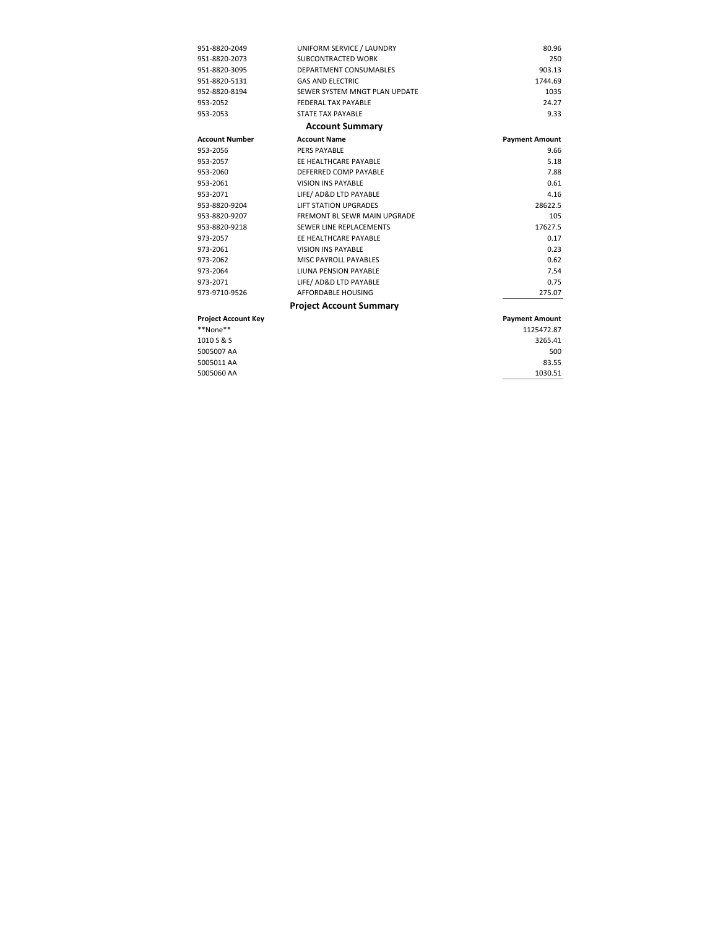| 951-8820-2049              | UNIFORM SERVICE / LAUNDRY           | 80.96                 |
|----------------------------|-------------------------------------|-----------------------|
| 951-8820-2073              | SUBCONTRACTED WORK                  | 250                   |
| 951-8820-3095              | DEPARTMENT CONSUMABLES              | 903.13                |
| 951-8820-5131              | <b>GAS AND ELECTRIC</b>             | 1744.69               |
| 952-8820-8194              | SEWER SYSTEM MNGT PLAN UPDATE       | 1035                  |
| 953-2052                   | FEDERAL TAX PAYABLE                 | 24 27                 |
| 953-2053                   | <b>STATE TAX PAYABLE</b>            | 9.33                  |
|                            | <b>Account Summary</b>              |                       |
| <b>Account Number</b>      | <b>Account Name</b>                 | <b>Payment Amount</b> |
| 953-2056                   | PERS PAYABLE                        | 9.66                  |
| 953-2057                   | EE HEALTHCARE PAYABLE               | 5.18                  |
| 953-2060                   | DEFERRED COMP PAYABLE               | 7.88                  |
| 953-2061                   | <b>VISION INS PAYABLE</b>           | 0.61                  |
| 953-2071                   | LIFE/ AD&D LTD PAYABLE              | 4.16                  |
| 953-8820-9204              | <b>LIFT STATION UPGRADES</b>        | 28622.5               |
| 953-8820-9207              | <b>FREMONT BL SEWR MAIN UPGRADE</b> | 105                   |
| 953-8820-9218              | SEWER LINE REPLACEMENTS             | 17627.5               |
| 973-2057                   | FF HFAITHCARF PAYARIF               | 0.17                  |
| 973-2061                   | <b>VISION INS PAYABLE</b>           | 0.23                  |
| 973-2062                   | MISC PAYROLL PAYABLES               | 0.62                  |
| 973-2064                   | LIUNA PENSION PAYABLE               | 7.54                  |
| 973-2071                   | LIFE/ AD&D LTD PAYABLE              | 0.75                  |
| 973-9710-9526              | AFFORDABLE HOUSING                  | 275.07                |
|                            | <b>Project Account Summary</b>      |                       |
| <b>Project Account Key</b> |                                     | <b>Payment Amount</b> |

| **None**   | 1125472.87 |
|------------|------------|
| 1010 S & S | 3265.41    |
| 5005007 AA | 500        |
| 5005011 AA | 83.55      |
| 5005060 AA | 1030.51    |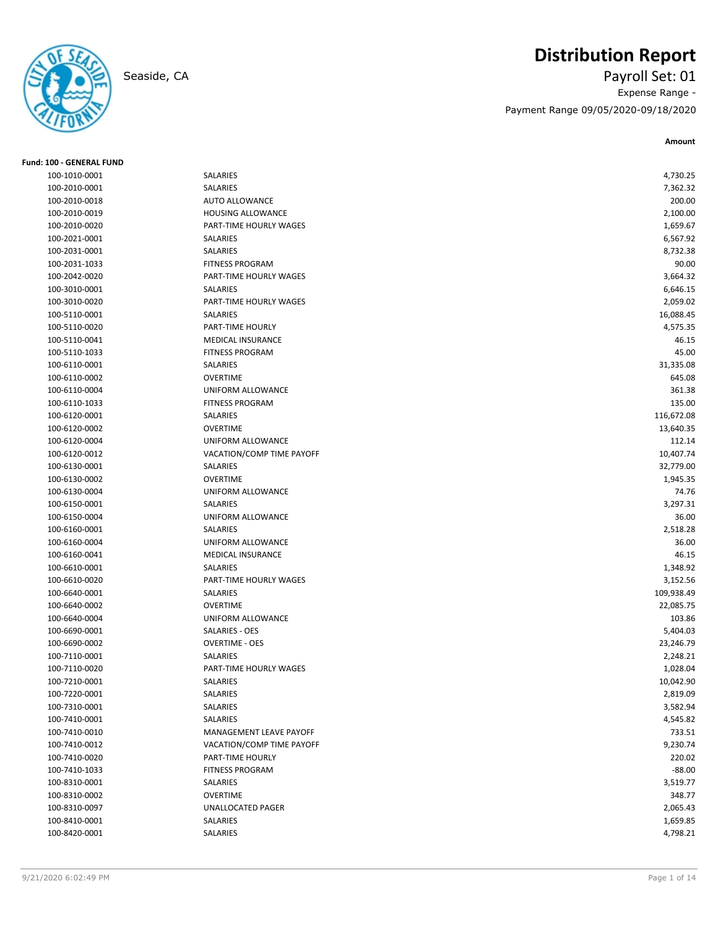

**Fund: 100 - GENERAL FUND**

# **Distribution Report**

Seaside, CA Payroll Set: 01 Expense Range - Payment Range 09/05/2020-09/18/2020

| 100-1010-0001 | SALARIES                  | 4,730.25   |
|---------------|---------------------------|------------|
| 100-2010-0001 | SALARIES                  | 7,362.32   |
| 100-2010-0018 | AUTO ALLOWANCE            | 200.00     |
| 100-2010-0019 | <b>HOUSING ALLOWANCE</b>  | 2,100.00   |
| 100-2010-0020 | PART-TIME HOURLY WAGES    | 1,659.67   |
| 100-2021-0001 | SALARIES                  | 6,567.92   |
| 100-2031-0001 | SALARIES                  | 8,732.38   |
| 100-2031-1033 | <b>FITNESS PROGRAM</b>    | 90.00      |
| 100-2042-0020 | PART-TIME HOURLY WAGES    | 3,664.32   |
| 100-3010-0001 | SALARIES                  | 6,646.15   |
| 100-3010-0020 | PART-TIME HOURLY WAGES    | 2,059.02   |
| 100-5110-0001 | <b>SALARIES</b>           | 16,088.45  |
| 100-5110-0020 | PART-TIME HOURLY          | 4,575.35   |
| 100-5110-0041 | <b>MEDICAL INSURANCE</b>  | 46.15      |
| 100-5110-1033 | <b>FITNESS PROGRAM</b>    | 45.00      |
| 100-6110-0001 | SALARIES                  | 31,335.08  |
| 100-6110-0002 | <b>OVERTIME</b>           | 645.08     |
| 100-6110-0004 | UNIFORM ALLOWANCE         | 361.38     |
| 100-6110-1033 | <b>FITNESS PROGRAM</b>    | 135.00     |
| 100-6120-0001 | SALARIES                  | 116,672.08 |
| 100-6120-0002 | <b>OVERTIME</b>           | 13,640.35  |
| 100-6120-0004 | UNIFORM ALLOWANCE         | 112.14     |
| 100-6120-0012 | VACATION/COMP TIME PAYOFF | 10,407.74  |
| 100-6130-0001 | SALARIES                  | 32,779.00  |
| 100-6130-0002 | <b>OVERTIME</b>           | 1,945.35   |
| 100-6130-0004 | UNIFORM ALLOWANCE         | 74.76      |
| 100-6150-0001 | <b>SALARIES</b>           | 3,297.31   |
| 100-6150-0004 | UNIFORM ALLOWANCE         | 36.00      |
| 100-6160-0001 | SALARIES                  | 2,518.28   |
| 100-6160-0004 | UNIFORM ALLOWANCE         | 36.00      |
| 100-6160-0041 | MEDICAL INSURANCE         | 46.15      |
| 100-6610-0001 | SALARIES                  | 1,348.92   |
| 100-6610-0020 | PART-TIME HOURLY WAGES    | 3,152.56   |
| 100-6640-0001 | SALARIES                  | 109,938.49 |
| 100-6640-0002 | <b>OVERTIME</b>           | 22,085.75  |
| 100-6640-0004 | UNIFORM ALLOWANCE         | 103.86     |
| 100-6690-0001 | SALARIES - OES            | 5,404.03   |
| 100-6690-0002 | <b>OVERTIME - OES</b>     | 23,246.79  |
| 100-7110-0001 | SALARIES                  | 2,248.21   |
| 100-7110-0020 | PART-TIME HOURLY WAGES    | 1,028.04   |
| 100-7210-0001 | SALARIES                  | 10,042.90  |
| 100-7220-0001 | SALARIES                  | 2,819.09   |
| 100-7310-0001 | SALARIES                  | 3,582.94   |
| 100-7410-0001 | SALARIES                  | 4,545.82   |
| 100-7410-0010 | MANAGEMENT LEAVE PAYOFF   | 733.51     |
| 100-7410-0012 | VACATION/COMP TIME PAYOFF | 9,230.74   |
| 100-7410-0020 | PART-TIME HOURLY          | 220.02     |
| 100-7410-1033 | <b>FITNESS PROGRAM</b>    | $-88.00$   |
| 100-8310-0001 | SALARIES                  | 3,519.77   |
| 100-8310-0002 | <b>OVERTIME</b>           | 348.77     |
| 100-8310-0097 | UNALLOCATED PAGER         | 2,065.43   |
| 100-8410-0001 | SALARIES                  | 1,659.85   |
| 100-8420-0001 | SALARIES                  | 4,798.21   |
|               |                           |            |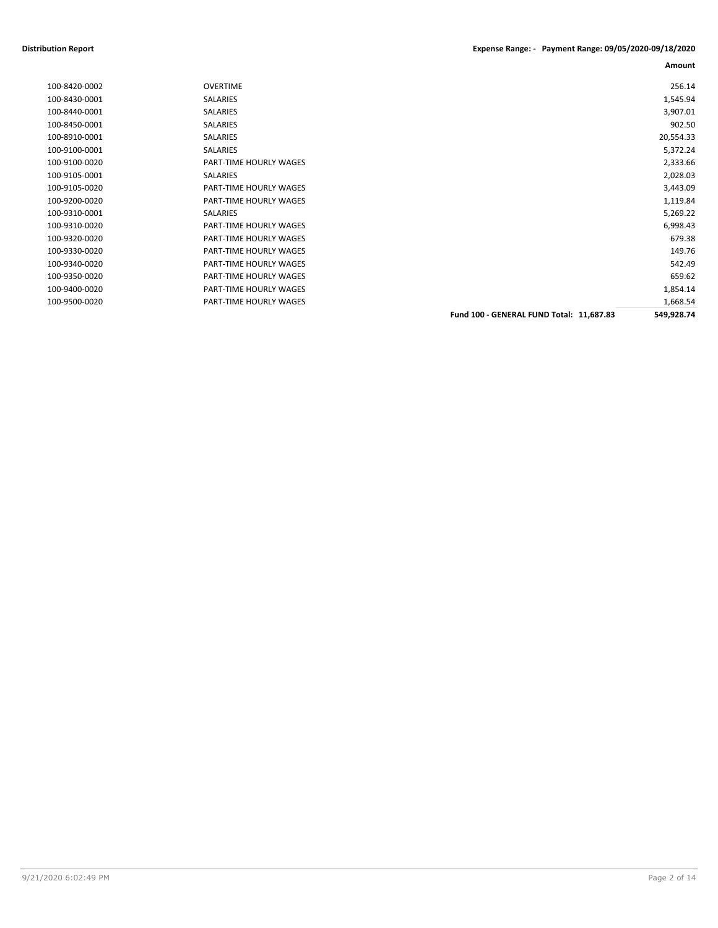### **Distribution Report Expense Range: - Payment Range: 09/05/2020-09/18/2020**

| 256.14     |                                          | <b>OVERTIME</b>        | 100-8420-0002 |
|------------|------------------------------------------|------------------------|---------------|
| 1,545.94   |                                          | SALARIES               | 100-8430-0001 |
| 3,907.01   |                                          | SALARIES               | 100-8440-0001 |
| 902.50     |                                          | SALARIES               | 100-8450-0001 |
| 20,554.33  |                                          | SALARIES               | 100-8910-0001 |
| 5,372.24   |                                          | SALARIES               | 100-9100-0001 |
| 2,333.66   |                                          | PART-TIME HOURLY WAGES | 100-9100-0020 |
| 2,028.03   |                                          | SALARIES               | 100-9105-0001 |
| 3,443.09   |                                          | PART-TIME HOURLY WAGES | 100-9105-0020 |
| 1,119.84   |                                          | PART-TIME HOURLY WAGES | 100-9200-0020 |
| 5,269.22   |                                          | <b>SALARIES</b>        | 100-9310-0001 |
| 6,998.43   |                                          | PART-TIME HOURLY WAGES | 100-9310-0020 |
| 679.38     |                                          | PART-TIME HOURLY WAGES | 100-9320-0020 |
| 149.76     |                                          | PART-TIME HOURLY WAGES | 100-9330-0020 |
| 542.49     |                                          | PART-TIME HOURLY WAGES | 100-9340-0020 |
| 659.62     |                                          | PART-TIME HOURLY WAGES | 100-9350-0020 |
| 1,854.14   |                                          | PART-TIME HOURLY WAGES | 100-9400-0020 |
| 1,668.54   |                                          | PART-TIME HOURLY WAGES | 100-9500-0020 |
| 549,928.74 | Fund 100 - GENERAL FUND Total: 11,687.83 |                        |               |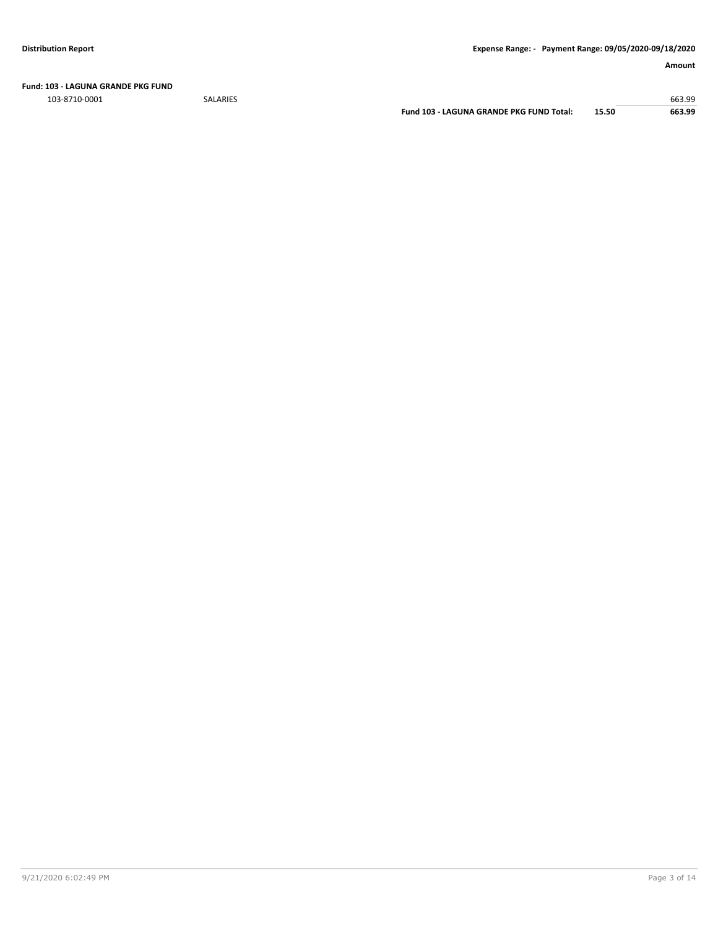**Fund: 103 - LAGUNA GRANDE PKG FUND**

103-8710-0001 SALARIES 663.99

**Fund 103 - LAGUNA GRANDE PKG FUND Total: 15.50 663.99**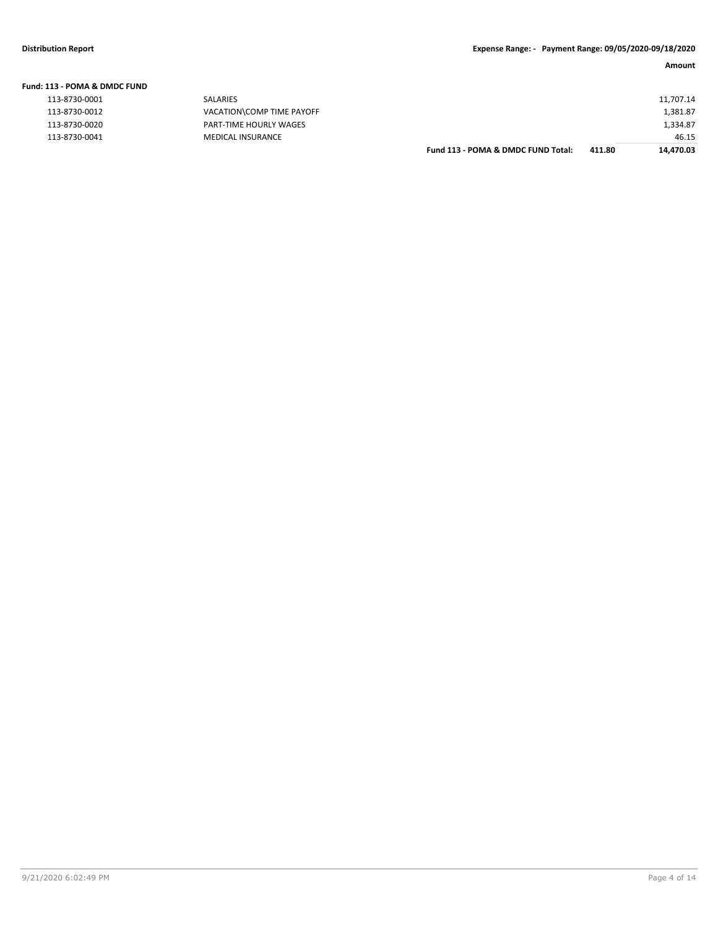| Fund: 113 - POMA & DMDC FUND |                           |                                    |        |           |
|------------------------------|---------------------------|------------------------------------|--------|-----------|
| 113-8730-0001                | SALARIES                  |                                    |        | 11,707.14 |
| 113-8730-0012                | VACATION\COMP TIME PAYOFF |                                    |        | 1,381.87  |
| 113-8730-0020                | PART-TIME HOURLY WAGES    |                                    |        | 1,334.87  |
| 113-8730-0041                | <b>MEDICAL INSURANCE</b>  |                                    |        | 46.15     |
|                              |                           | Fund 113 - POMA & DMDC FUND Total: | 411.80 | 14.470.03 |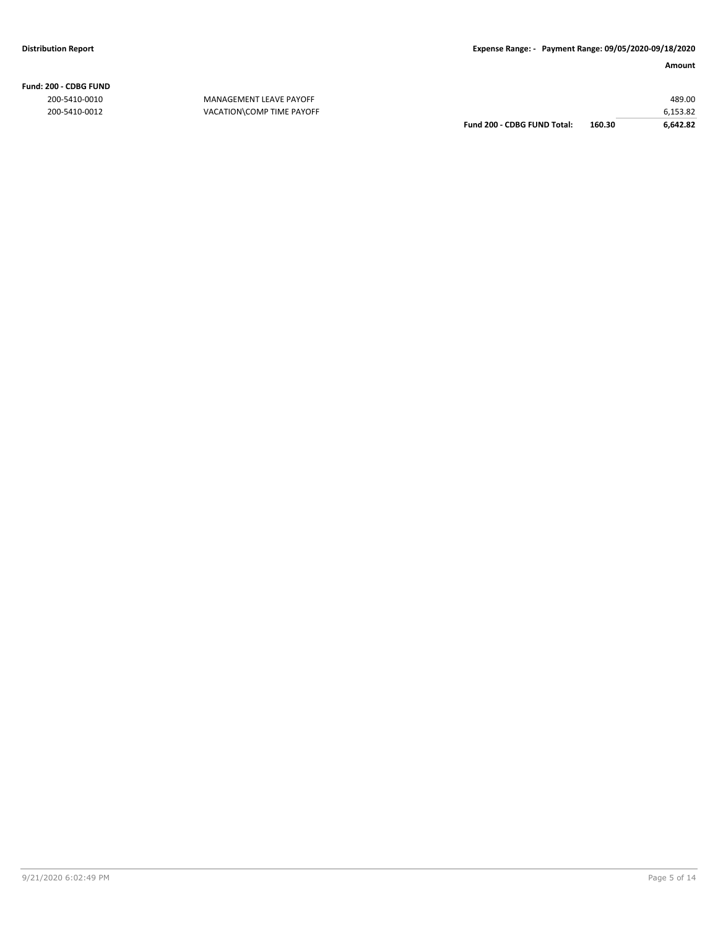**Fund: 200 - CDBG FUND**

200-5410-0010 MANAGEMENT LEAVE PAYOFF 489.00 200-5410-0012 VACATION\COMP TIME PAYOFF 6,153.82 **Fund 200 - CDBG FUND Total: 160.30 6,642.82**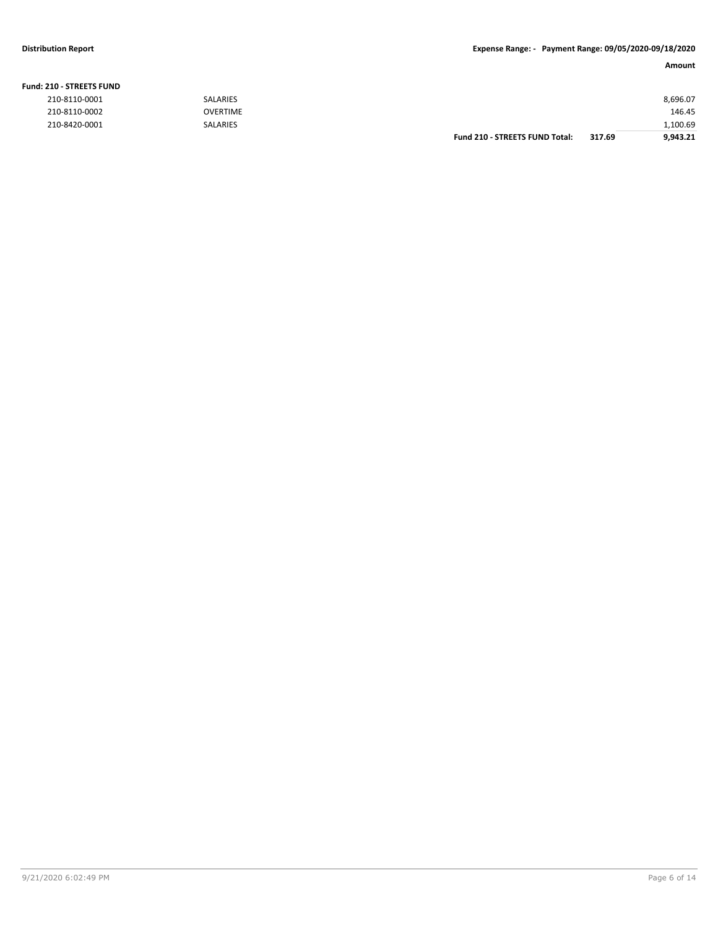### **Fund: 210 - STREETS FUND**

| 210-8110-0001 | <b>SALARIES</b> |                                       |        | 8,696.07 |
|---------------|-----------------|---------------------------------------|--------|----------|
| 210-8110-0002 | <b>OVERTIME</b> |                                       |        | 146.45   |
| 210-8420-0001 | <b>SALARIES</b> |                                       |        | 1,100.69 |
|               |                 | <b>Fund 210 - STREETS FUND Total:</b> | 317.69 | 9,943.21 |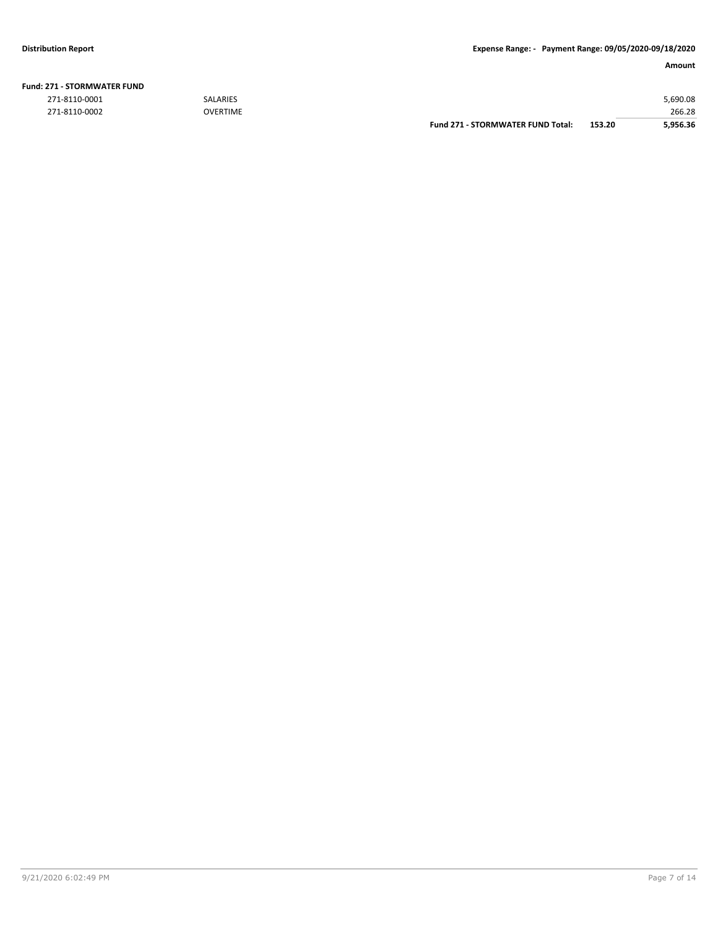| !71 - STORMWATER FUND |                 |                                          |        |          |
|-----------------------|-----------------|------------------------------------------|--------|----------|
| 271-8110-0001         | <b>SALARIES</b> |                                          |        | 5,690.08 |
| 271-8110-0002         | <b>OVERTIME</b> |                                          |        | 266.28   |
|                       |                 | <b>Fund 271 - STORMWATER FUND Total:</b> | 153.20 | 5.956.36 |

### **Fund: 271 - STORMWATER FUND**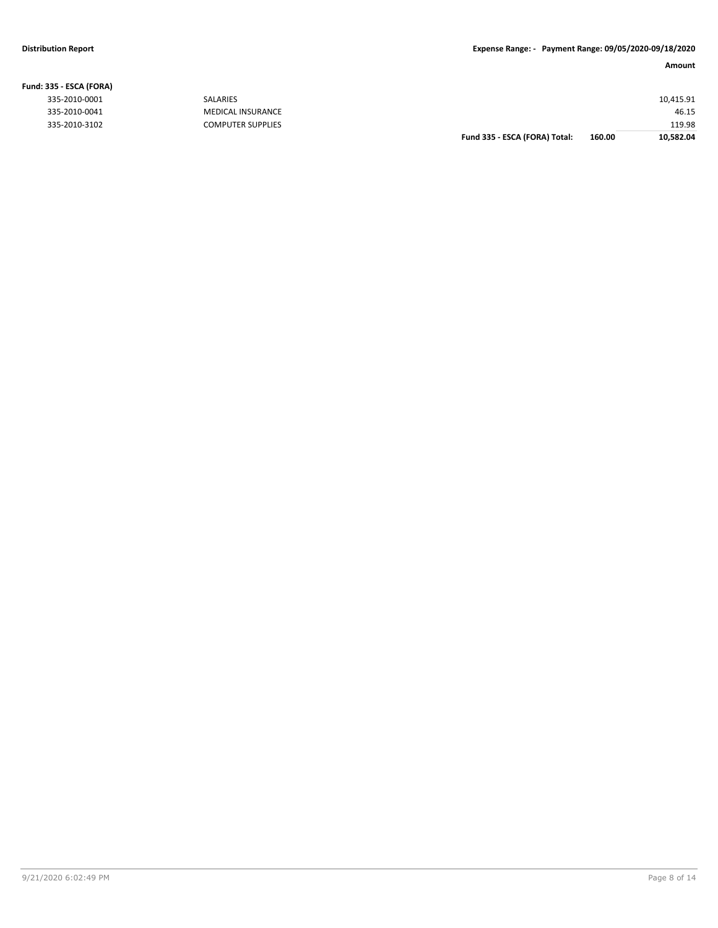**Fund: 335 - ESCA (FORA)**

### **Amount**

| ואווט ון הטכם - ככנ |                          |                               |        |           |
|---------------------|--------------------------|-------------------------------|--------|-----------|
| 335-2010-0001       | <b>SALARIES</b>          |                               |        | 10,415.91 |
| 335-2010-0041       | <b>MEDICAL INSURANCE</b> |                               |        | 46.15     |
| 335-2010-3102       | <b>COMPUTER SUPPLIES</b> |                               |        | 119.98    |
|                     |                          | Fund 335 - ESCA (FORA) Total: | 160.00 | 10,582.04 |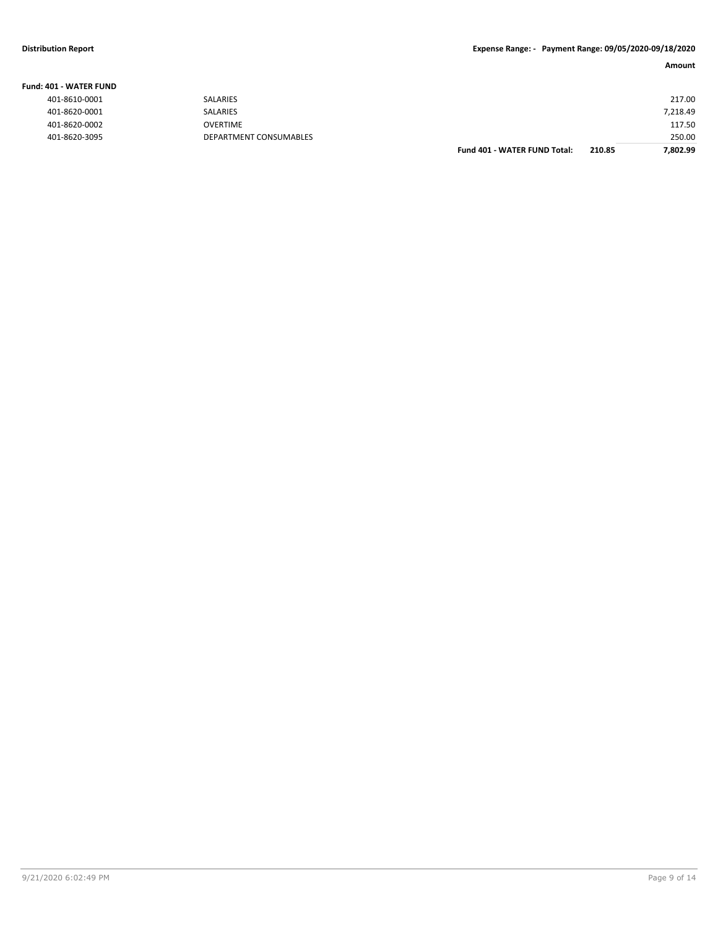### **Fund: 401 - WATER FUND**

| 401-8610-0001 |
|---------------|
| 401-8620-0001 |
| 401-8620-0002 |
| 401-8620-3095 |

| - שיוש ו וושראש ל- בשי |                        |                                     |        |          |
|------------------------|------------------------|-------------------------------------|--------|----------|
| 401-8610-0001          | SALARIES               |                                     |        | 217.00   |
| 401-8620-0001          | SALARIES               |                                     |        | 7,218.49 |
| 401-8620-0002          | <b>OVERTIME</b>        |                                     |        | 117.50   |
| 401-8620-3095          | DEPARTMENT CONSUMABLES |                                     |        | 250.00   |
|                        |                        | <b>Fund 401 - WATER FUND Total:</b> | 210.85 | 7,802.99 |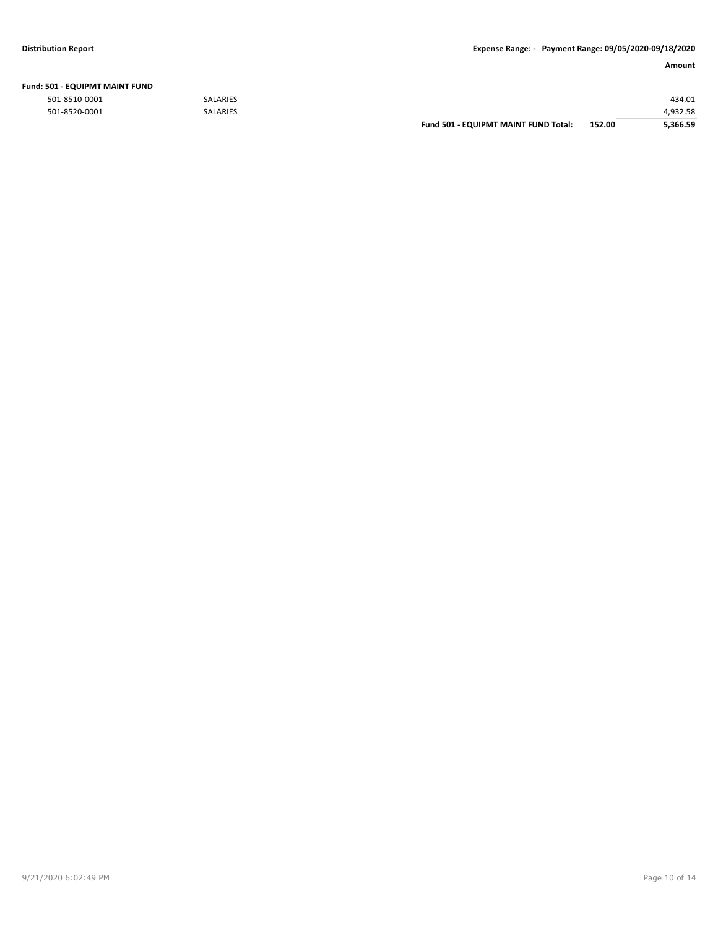| Fund: 501 - EQUIPMT MAINT FUND |  |
|--------------------------------|--|
|--------------------------------|--|

|               |                 | <b>Fund 501 - EQUIPMT MAINT FUND Total:</b> | 152.00 | 5.366.59 |
|---------------|-----------------|---------------------------------------------|--------|----------|
| 501-8520-0001 | <b>SALARIES</b> |                                             |        | 4.932.58 |
| 501-8510-0001 | <b>SALARIES</b> |                                             |        | 434.01   |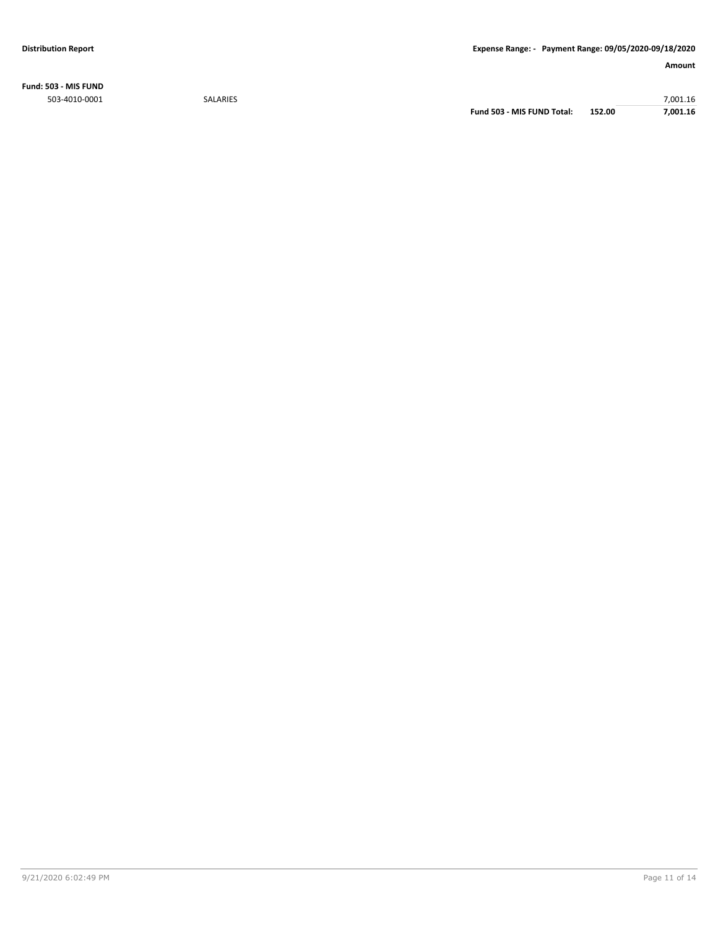**Fund: 503 - MIS FUND** 503-4010-0001 SALARIES 7,001.16

**Fund 503 - MIS FUND Total: 152.00 7,001.16**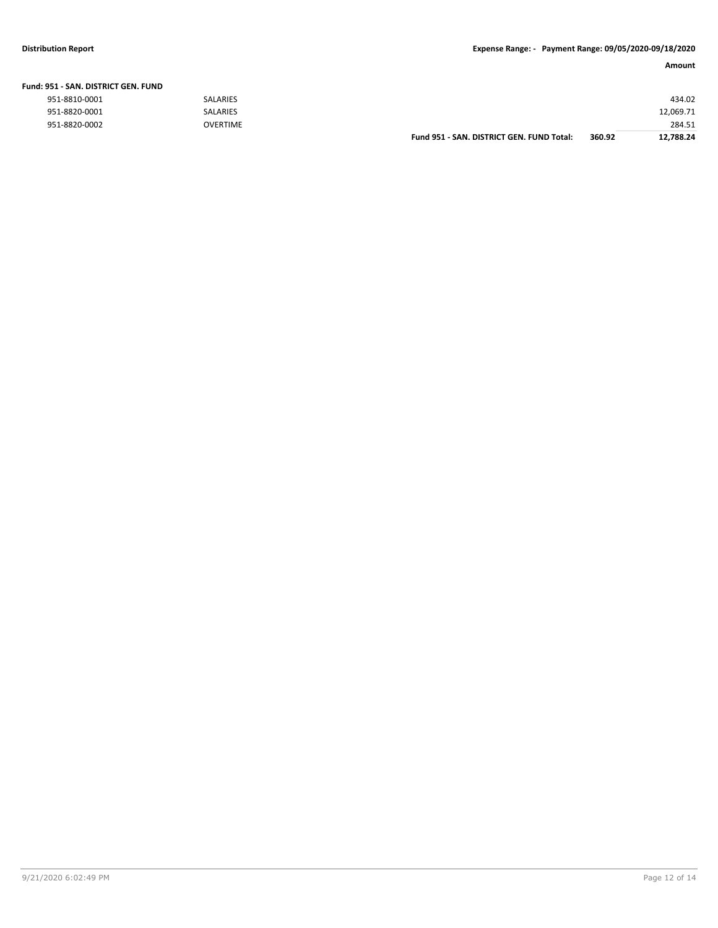|                               |                 | Fund 951 - SAN, DISTRICT GEN, FUND Total: | 360.92 | 12.788.24 |
|-------------------------------|-----------------|-------------------------------------------|--------|-----------|
| 951-8820-0002                 | OVERTIME        |                                           |        | 284.51    |
| 951-8820-0001                 | <b>SALARIES</b> |                                           |        | 12,069.71 |
| 951-8810-0001                 | <b>SALARIES</b> |                                           |        | 434.02    |
| 151 - SAN. DISTRICT GEN. FUND |                 |                                           |        |           |

### **Fund: 951 - SAN. DISTRICT GEN. FUND**

| 951-8810-0001 |  |
|---------------|--|
| 951-8820-0001 |  |
| 951-8820-0002 |  |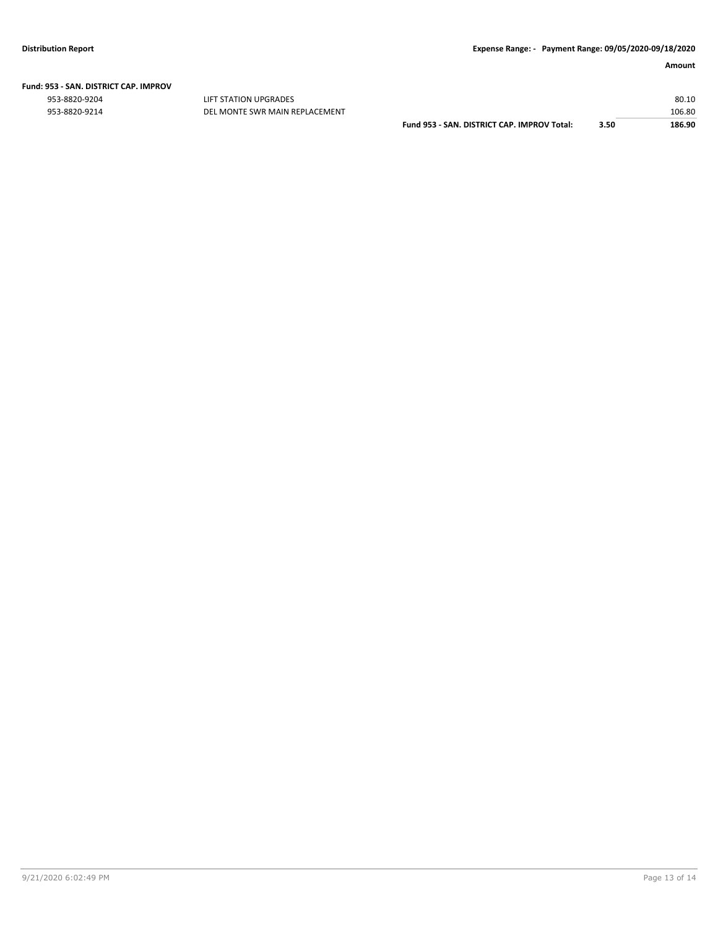|  | Fund: 953 - SAN. DISTRICT CAP. IMPROV |  |
|--|---------------------------------------|--|
|  |                                       |  |

953-8820-9204 LIFT STATION UPGRADES 80.10

| 953-8820-9214 | DEL MONTE SWR MAIN REPLACEMENT |                                                  |      | 106.80 |
|---------------|--------------------------------|--------------------------------------------------|------|--------|
|               |                                | Fund 953 -<br>- SAN. DISTRICT CAP. IMPROV Total: | 3.50 | 186.90 |